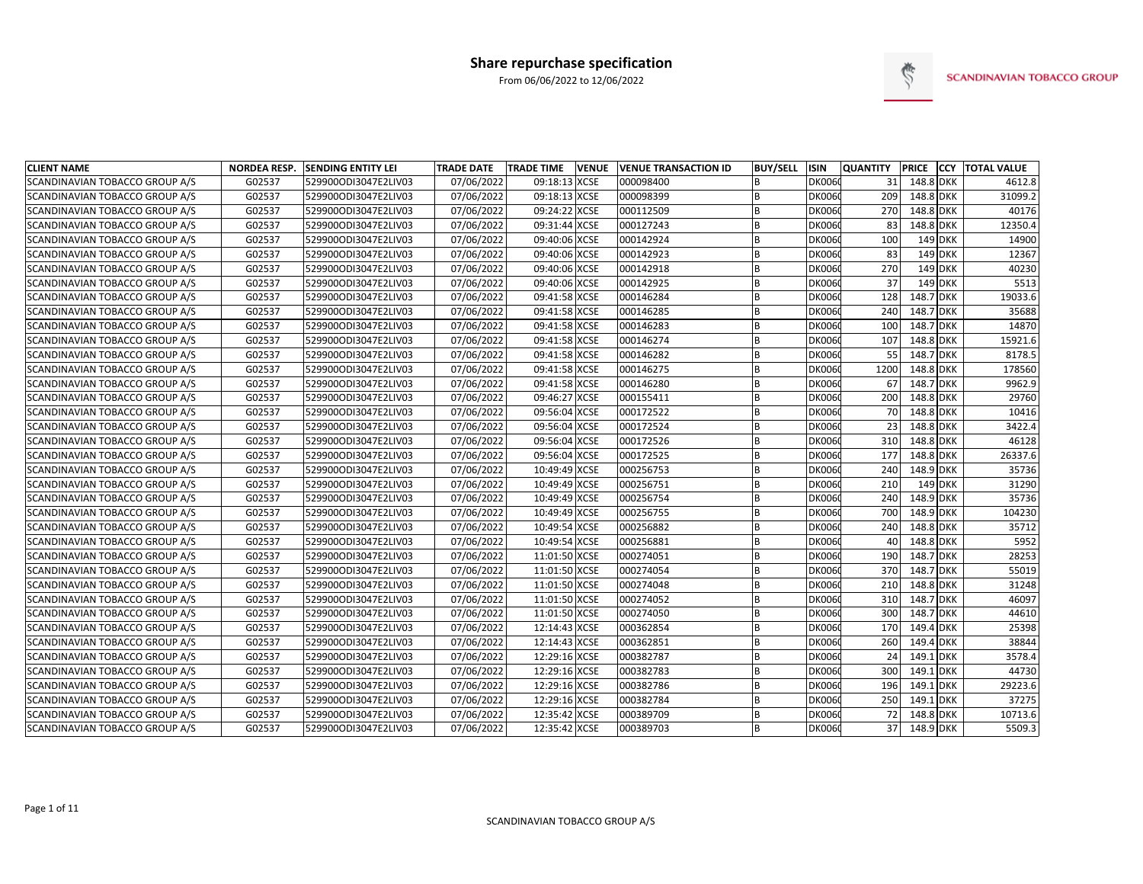

| <b>CLIENT NAME</b>             | <b>NORDEA RESP.</b> | <b>SENDING ENTITY LEI</b> | <b>TRADE DATE</b> | <b>TRADE TIME</b><br><b>VENUE</b> | <b>VENUE TRANSACTION ID</b> | <b>BUY/SELL</b> | <b>ISIN</b>   | <b>QUANTITY</b> |           | <b>PRICE CCY TOTAL VALUE</b> |
|--------------------------------|---------------------|---------------------------|-------------------|-----------------------------------|-----------------------------|-----------------|---------------|-----------------|-----------|------------------------------|
| SCANDINAVIAN TOBACCO GROUP A/S | G02537              | 529900ODI3047E2LIV03      | 07/06/2022        | 09:18:13 XCSE                     | 000098400                   | R               | <b>DK0060</b> | 31              | 148.8 DKK | 4612.8                       |
| SCANDINAVIAN TOBACCO GROUP A/S | G02537              | 529900ODI3047E2LIV03      | 07/06/2022        | 09:18:13 XCSE                     | 000098399                   | B               | <b>DK0060</b> | 209             | 148.8 DKK | 31099.2                      |
| SCANDINAVIAN TOBACCO GROUP A/S | G02537              | 529900ODI3047E2LIV03      | 07/06/2022        | 09:24:22 XCSE                     | 000112509                   | B               | <b>DK0060</b> | 270             | 148.8 DKK | 40176                        |
| SCANDINAVIAN TOBACCO GROUP A/S | G02537              | 529900ODI3047E2LIV03      | 07/06/2022        | 09:31:44 XCSE                     | 000127243                   | R               | <b>DK0060</b> | 83              | 148.8 DKK | 12350.4                      |
| SCANDINAVIAN TOBACCO GROUP A/S | G02537              | 529900ODI3047E2LIV03      | 07/06/2022        | 09:40:06 XCSE                     | 000142924                   | B               | <b>DK0060</b> | 100             | 149 DKK   | 14900                        |
| SCANDINAVIAN TOBACCO GROUP A/S | G02537              | 529900ODI3047E2LIV03      | 07/06/2022        | 09:40:06 XCSE                     | 000142923                   | R               | <b>DK0060</b> | 83              | 149 DKK   | 12367                        |
| SCANDINAVIAN TOBACCO GROUP A/S | G02537              | 529900ODI3047E2LIV03      | 07/06/2022        | 09:40:06 XCSE                     | 000142918                   | <sub>R</sub>    | <b>DK0060</b> | 270             | 149 DKK   | 40230                        |
| SCANDINAVIAN TOBACCO GROUP A/S | G02537              | 529900ODI3047E2LIV03      | 07/06/2022        | 09:40:06 XCSE                     | 000142925                   | R               | <b>DK0060</b> | 37              | 149 DKK   | 5513                         |
| SCANDINAVIAN TOBACCO GROUP A/S | G02537              | 529900ODI3047E2LIV03      | 07/06/2022        | 09:41:58 XCSE                     | 000146284                   | B               | <b>DK0060</b> | 128             | 148.7 DKK | 19033.6                      |
| SCANDINAVIAN TOBACCO GROUP A/S | G02537              | 529900ODI3047E2LIV03      | 07/06/2022        | 09:41:58 XCSE                     | 000146285                   | B               | <b>DK0060</b> | 240             | 148.7 DKK | 35688                        |
| SCANDINAVIAN TOBACCO GROUP A/S | G02537              | 529900ODI3047E2LIV03      | 07/06/2022        | 09:41:58 XCSE                     | 000146283                   | B               | <b>DK0060</b> | 100             | 148.7 DKK | 14870                        |
| SCANDINAVIAN TOBACCO GROUP A/S | G02537              | 529900ODI3047E2LIV03      | 07/06/2022        | 09:41:58 XCSE                     | 000146274                   | B               | <b>DK0060</b> | 107             | 148.8 DKK | 15921.6                      |
| SCANDINAVIAN TOBACCO GROUP A/S | G02537              | 529900ODI3047E2LIV03      | 07/06/2022        | 09:41:58 XCSE                     | 000146282                   | B               | <b>DK0060</b> | 55              | 148.7 DKK | 8178.5                       |
| SCANDINAVIAN TOBACCO GROUP A/S | G02537              | 529900ODI3047E2LIV03      | 07/06/2022        | 09:41:58 XCSE                     | 000146275                   | B               | <b>DK0060</b> | 1200            | 148.8 DKK | 178560                       |
| SCANDINAVIAN TOBACCO GROUP A/S | G02537              | 529900ODI3047E2LIV03      | 07/06/2022        | 09:41:58 XCSE                     | 000146280                   | B               | <b>DK0060</b> | 67              | 148.7 DKK | 9962.9                       |
| SCANDINAVIAN TOBACCO GROUP A/S | G02537              | 529900ODI3047E2LIV03      | 07/06/2022        | 09:46:27 XCSE                     | 000155411                   | B               | <b>DK0060</b> | 200             | 148.8 DKK | 29760                        |
| SCANDINAVIAN TOBACCO GROUP A/S | G02537              | 529900ODI3047E2LIV03      | 07/06/2022        | 09:56:04 XCSE                     | 000172522                   | <sub>R</sub>    | <b>DK0060</b> | 70              | 148.8 DKK | 10416                        |
| SCANDINAVIAN TOBACCO GROUP A/S | G02537              | 529900ODI3047E2LIV03      | 07/06/2022        | 09:56:04 XCSE                     | 000172524                   | R               | <b>DK0060</b> | 23              | 148.8 DKK | 3422.4                       |
| SCANDINAVIAN TOBACCO GROUP A/S | G02537              | 529900ODI3047E2LIV03      | 07/06/2022        | 09:56:04 XCSE                     | 000172526                   | B               | <b>DK0060</b> | 310             | 148.8 DKK | 46128                        |
| SCANDINAVIAN TOBACCO GROUP A/S | G02537              | 529900ODI3047E2LIV03      | 07/06/2022        | 09:56:04 XCSE                     | 000172525                   | B               | <b>DK0060</b> | 177             | 148.8 DKK | 26337.6                      |
| SCANDINAVIAN TOBACCO GROUP A/S | G02537              | 529900ODI3047E2LIV03      | 07/06/2022        | 10:49:49 XCSE                     | 000256753                   | B               | <b>DK0060</b> | 240             | 148.9 DKK | 35736                        |
| SCANDINAVIAN TOBACCO GROUP A/S | G02537              | 529900ODI3047E2LIV03      | 07/06/2022        | 10:49:49 XCSE                     | 000256751                   | R               | <b>DK0060</b> | 210             | 149 DKK   | 31290                        |
| SCANDINAVIAN TOBACCO GROUP A/S | G02537              | 529900ODI3047E2LIV03      | 07/06/2022        | 10:49:49 XCSE                     | 000256754                   | B               | <b>DK0060</b> | 240             | 148.9 DKK | 35736                        |
| SCANDINAVIAN TOBACCO GROUP A/S | G02537              | 529900ODI3047E2LIV03      | 07/06/2022        | 10:49:49 XCSE                     | 000256755                   | B               | <b>DK0060</b> | 700             | 148.9 DKK | 104230                       |
| SCANDINAVIAN TOBACCO GROUP A/S | G02537              | 529900ODI3047E2LIV03      | 07/06/2022        | 10:49:54 XCSE                     | 000256882                   | B               | <b>DK0060</b> | 240             | 148.8 DKK | 35712                        |
| SCANDINAVIAN TOBACCO GROUP A/S | G02537              | 529900ODI3047E2LIV03      | 07/06/2022        | 10:49:54 XCSE                     | 000256881                   | R               | <b>DK0060</b> | 40              | 148.8 DKK | 5952                         |
| SCANDINAVIAN TOBACCO GROUP A/S | G02537              | 529900ODI3047E2LIV03      | 07/06/2022        | 11:01:50 XCSE                     | 000274051                   | <sub>B</sub>    | <b>DK0060</b> | 190             | 148.7 DKK | 28253                        |
| SCANDINAVIAN TOBACCO GROUP A/S | G02537              | 529900ODI3047E2LIV03      | 07/06/2022        | 11:01:50 XCSE                     | 000274054                   | B               | <b>DK0060</b> | 370             | 148.7 DKK | 55019                        |
| SCANDINAVIAN TOBACCO GROUP A/S | G02537              | 529900ODI3047E2LIV03      | 07/06/2022        | 11:01:50 XCSE                     | 000274048                   | <sub>R</sub>    | <b>DK0060</b> | 210             | 148.8 DKK | 31248                        |
| SCANDINAVIAN TOBACCO GROUP A/S | G02537              | 529900ODI3047E2LIV03      | 07/06/2022        | 11:01:50 XCSE                     | 000274052                   | B               | <b>DK0060</b> | 310             | 148.7 DKK | 46097                        |
| SCANDINAVIAN TOBACCO GROUP A/S | G02537              | 529900ODI3047E2LIV03      | 07/06/2022        | 11:01:50 XCSE                     | 000274050                   | B               | <b>DK0060</b> | 300             | 148.7 DKK | 44610                        |
| SCANDINAVIAN TOBACCO GROUP A/S | G02537              | 529900ODI3047E2LIV03      | 07/06/2022        | 12:14:43 XCSE                     | 000362854                   | B               | <b>DK0060</b> | 170             | 149.4 DKK | 25398                        |
| SCANDINAVIAN TOBACCO GROUP A/S | G02537              | 529900ODI3047E2LIV03      | 07/06/2022        | 12:14:43 XCSE                     | 000362851                   | R               | <b>DK0060</b> | 260             | 149.4 DKK | 38844                        |
| SCANDINAVIAN TOBACCO GROUP A/S | G02537              | 529900ODI3047E2LIV03      | 07/06/2022        | 12:29:16 XCSE                     | 000382787                   | R               | <b>DK0060</b> | 24              | 149.1 DKK | 3578.4                       |
| SCANDINAVIAN TOBACCO GROUP A/S | G02537              | 529900ODI3047E2LIV03      | 07/06/2022        | 12:29:16 XCSE                     | 000382783                   | B               | <b>DK0060</b> | 300             | 149.1 DKK | 44730                        |
| SCANDINAVIAN TOBACCO GROUP A/S | G02537              | 529900ODI3047E2LIV03      | 07/06/2022        | 12:29:16 XCSE                     | 000382786                   | B               | <b>DK0060</b> | 196             | 149.1 DKK | 29223.6                      |
| SCANDINAVIAN TOBACCO GROUP A/S | G02537              | 529900ODI3047E2LIV03      | 07/06/2022        | 12:29:16 XCSE                     | 000382784                   | lв              | <b>DK0060</b> | 250             | 149.1 DKK | 37275                        |
| SCANDINAVIAN TOBACCO GROUP A/S | G02537              | 529900ODI3047E2LIV03      | 07/06/2022        | 12:35:42 XCSE                     | 000389709                   | B               | <b>DK0060</b> | 72              | 148.8 DKK | 10713.6                      |
| SCANDINAVIAN TOBACCO GROUP A/S | G02537              | 529900ODI3047E2LIV03      | 07/06/2022        | 12:35:42 XCSE                     | 000389703                   |                 | DK0060        | 37              | 148.9 DKK | 5509.3                       |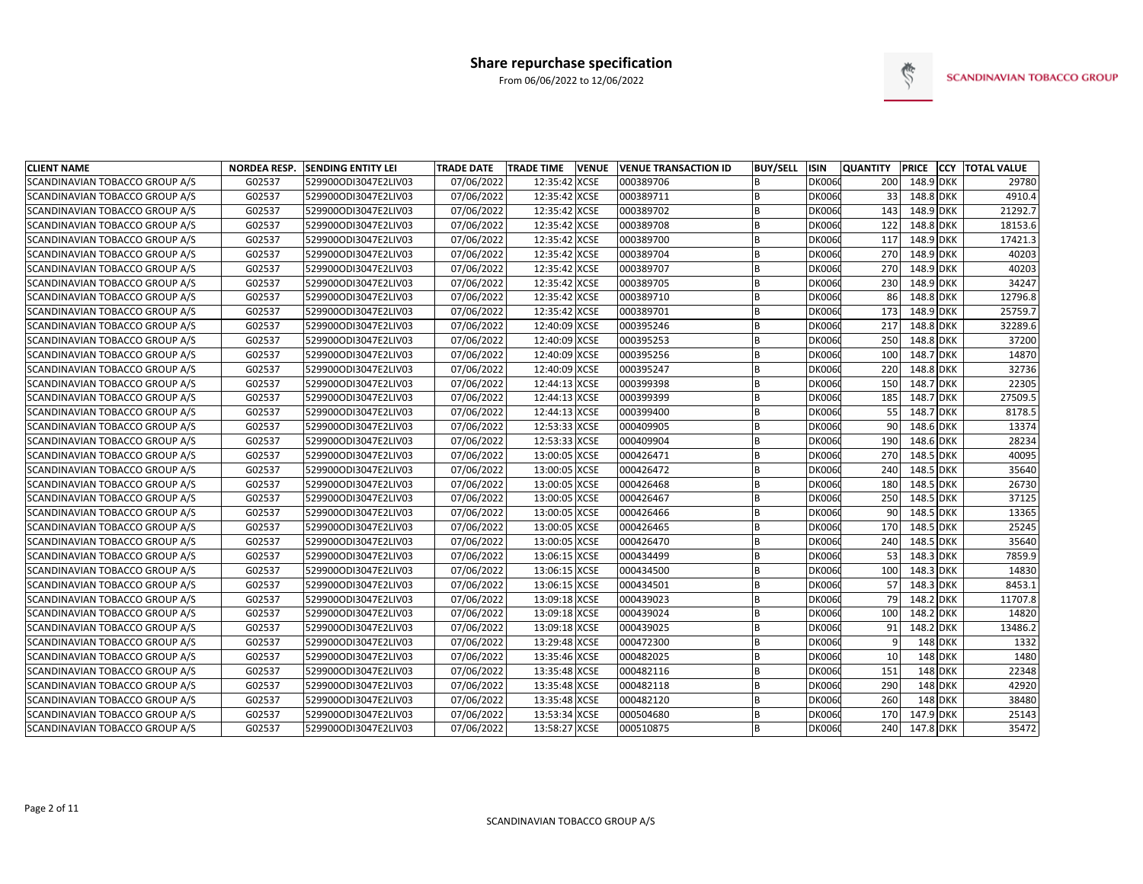

| <b>CLIENT NAME</b>             | <b>NORDEA RESP.</b> | <b>SENDING ENTITY LEI</b> | <b>TRADE DATE</b> | <b>TRADE TIME</b> | <b>VENUE</b> | <b>VENUE TRANSACTION ID</b> | <b>BUY/SELL</b> | <b>ISIN</b>   | <b>QUANTITY</b> | <b>PRICE</b> | <b>CCY TOTAL VALUE</b> |
|--------------------------------|---------------------|---------------------------|-------------------|-------------------|--------------|-----------------------------|-----------------|---------------|-----------------|--------------|------------------------|
| SCANDINAVIAN TOBACCO GROUP A/S | G02537              | 529900ODI3047E2LIV03      | 07/06/2022        | 12:35:42 XCSE     |              | 000389706                   | <sub>B</sub>    | DK0060        | 200             | 148.9 DKK    | 29780                  |
| SCANDINAVIAN TOBACCO GROUP A/S | G02537              | 529900ODI3047E2LIV03      | 07/06/2022        | 12:35:42 XCSE     |              | 000389711                   | B               | DK0060        | 33              | 148.8 DKK    | 4910.4                 |
| SCANDINAVIAN TOBACCO GROUP A/S | G02537              | 529900ODI3047E2LIV03      | 07/06/2022        | 12:35:42 XCSE     |              | 000389702                   | B               | <b>DK0060</b> | 143             | 148.9 DKK    | 21292.7                |
| SCANDINAVIAN TOBACCO GROUP A/S | G02537              | 529900ODI3047E2LIV03      | 07/06/2022        | 12:35:42 XCSE     |              | 000389708                   | B               | DK0060        | 122             | 148.8 DKK    | 18153.6                |
| SCANDINAVIAN TOBACCO GROUP A/S | G02537              | 529900ODI3047E2LIV03      | 07/06/2022        | 12:35:42 XCSE     |              | 000389700                   | B               | <b>DK0060</b> | 117             | 148.9 DKK    | 17421.3                |
| SCANDINAVIAN TOBACCO GROUP A/S | G02537              | 529900ODI3047E2LIV03      | 07/06/2022        | 12:35:42 XCSE     |              | 000389704                   |                 | <b>DK0060</b> | 270             | 148.9 DKK    | 40203                  |
| SCANDINAVIAN TOBACCO GROUP A/S | G02537              | 529900ODI3047E2LIV03      | 07/06/2022        | 12:35:42 XCSE     |              | 000389707                   | B               | <b>DK0060</b> | 270             | 148.9 DKK    | 40203                  |
| SCANDINAVIAN TOBACCO GROUP A/S | G02537              | 529900ODI3047E2LIV03      | 07/06/2022        | 12:35:42 XCSE     |              | 000389705                   | <sub>B</sub>    | <b>DK0060</b> | 230             | 148.9 DKK    | 34247                  |
| SCANDINAVIAN TOBACCO GROUP A/S | G02537              | 529900ODI3047E2LIV03      | 07/06/2022        | 12:35:42 XCSE     |              | 000389710                   | <sub>R</sub>    | <b>DK0060</b> | 86              | 148.8 DKK    | 12796.8                |
| SCANDINAVIAN TOBACCO GROUP A/S | G02537              | 529900ODI3047E2LIV03      | 07/06/2022        | 12:35:42 XCSE     |              | 000389701                   | B               | <b>DK0060</b> | 173             | 148.9 DKK    | 25759.7                |
| SCANDINAVIAN TOBACCO GROUP A/S | G02537              | 529900ODI3047E2LIV03      | 07/06/2022        | 12:40:09 XCSE     |              | 000395246                   | B               | <b>DK0060</b> | 217             | 148.8 DKK    | 32289.6                |
| SCANDINAVIAN TOBACCO GROUP A/S | G02537              | 529900ODI3047E2LIV03      | 07/06/2022        | 12:40:09 XCSE     |              | 000395253                   | B               | <b>DK0060</b> | 250             | 148.8 DKK    | 37200                  |
| SCANDINAVIAN TOBACCO GROUP A/S | G02537              | 529900ODI3047E2LIV03      | 07/06/2022        | 12:40:09 XCSE     |              | 000395256                   | B               | DK0060        | 100             | 148.7 DKK    | 14870                  |
| SCANDINAVIAN TOBACCO GROUP A/S | G02537              | 529900ODI3047E2LIV03      | 07/06/2022        | 12:40:09 XCSE     |              | 000395247                   | B               | <b>DK0060</b> | 220             | 148.8 DKK    | 32736                  |
| SCANDINAVIAN TOBACCO GROUP A/S | G02537              | 529900ODI3047E2LIV03      | 07/06/2022        | 12:44:13 XCSE     |              | 000399398                   | B               | <b>DK0060</b> | 150             | 148.7 DKK    | 22305                  |
| SCANDINAVIAN TOBACCO GROUP A/S | G02537              | 529900ODI3047E2LIV03      | 07/06/2022        | 12:44:13 XCSE     |              | 000399399                   | B               | <b>DK0060</b> | 185             | 148.7 DKK    | 27509.5                |
| SCANDINAVIAN TOBACCO GROUP A/S | G02537              | 529900ODI3047E2LIV03      | 07/06/2022        | 12:44:13 XCSE     |              | 000399400                   | <sub>R</sub>    | <b>DK0060</b> | 55              | 148.7 DKK    | 8178.5                 |
| SCANDINAVIAN TOBACCO GROUP A/S | G02537              | 529900ODI3047E2LIV03      | 07/06/2022        | 12:53:33 XCSE     |              | 000409905                   | <b>B</b>        | <b>DK0060</b> | 90              | 148.6 DKK    | 13374                  |
| SCANDINAVIAN TOBACCO GROUP A/S | G02537              | 529900ODI3047E2LIV03      | 07/06/2022        | 12:53:33 XCSE     |              | 000409904                   | B               | <b>DK0060</b> | 190             | 148.6 DKK    | 28234                  |
| SCANDINAVIAN TOBACCO GROUP A/S | G02537              | 529900ODI3047E2LIV03      | 07/06/2022        | 13:00:05 XCSE     |              | 000426471                   | B               | <b>DK0060</b> | 270             | 148.5 DKK    | 40095                  |
| SCANDINAVIAN TOBACCO GROUP A/S | G02537              | 529900ODI3047E2LIV03      | 07/06/2022        | 13:00:05 XCSE     |              | 000426472                   | B               | <b>DK0060</b> | 240             | 148.5 DKK    | 35640                  |
| SCANDINAVIAN TOBACCO GROUP A/S | G02537              | 529900ODI3047E2LIV03      | 07/06/2022        | 13:00:05 XCSE     |              | 000426468                   | <b>B</b>        | <b>DK0060</b> | 180             | 148.5 DKK    | 26730                  |
| SCANDINAVIAN TOBACCO GROUP A/S | G02537              | 529900ODI3047E2LIV03      | 07/06/2022        | 13:00:05 XCSE     |              | 000426467                   | B               | <b>DK0060</b> | 250             | 148.5 DKK    | 37125                  |
| SCANDINAVIAN TOBACCO GROUP A/S | G02537              | 529900ODI3047E2LIV03      | 07/06/2022        | 13:00:05 XCSE     |              | 000426466                   | B               | <b>DK0060</b> | 90 <sup>°</sup> | 148.5 DKK    | 13365                  |
| SCANDINAVIAN TOBACCO GROUP A/S | G02537              | 529900ODI3047E2LIV03      | 07/06/2022        | 13:00:05 XCSE     |              | 000426465                   | <sub>R</sub>    | <b>DK0060</b> | 170             | 148.5 DKK    | 25245                  |
| SCANDINAVIAN TOBACCO GROUP A/S | G02537              | 529900ODI3047E2LIV03      | 07/06/2022        | 13:00:05 XCSE     |              | 000426470                   | <sub>R</sub>    | <b>DK0060</b> | 240             | 148.5 DKK    | 35640                  |
| SCANDINAVIAN TOBACCO GROUP A/S | G02537              | 529900ODI3047E2LIV03      | 07/06/2022        | 13:06:15 XCSE     |              | 000434499                   | <b>B</b>        | <b>DK0060</b> | 53              | 148.3 DKK    | 7859.9                 |
| SCANDINAVIAN TOBACCO GROUP A/S | G02537              | 529900ODI3047E2LIV03      | 07/06/2022        | 13:06:15 XCSE     |              | 000434500                   | B               | <b>DK0060</b> | 100             | 148.3 DKK    | 14830                  |
| SCANDINAVIAN TOBACCO GROUP A/S | G02537              | 529900ODI3047E2LIV03      | 07/06/2022        | 13:06:15 XCSE     |              | 000434501                   | B               | <b>DK0060</b> | 57              | 148.3 DKK    | 8453.1                 |
| SCANDINAVIAN TOBACCO GROUP A/S | G02537              | 529900ODI3047E2LIV03      | 07/06/2022        | 13:09:18 XCSE     |              | 000439023                   | B               | <b>DK0060</b> | 79              | 148.2 DKK    | 11707.8                |
| SCANDINAVIAN TOBACCO GROUP A/S | G02537              | 529900ODI3047E2LIV03      | 07/06/2022        | 13:09:18 XCSE     |              | 000439024                   | B               | <b>DK0060</b> | 100             | 148.2 DKK    | 14820                  |
| SCANDINAVIAN TOBACCO GROUP A/S | G02537              | 529900ODI3047E2LIV03      | 07/06/2022        | 13:09:18 XCSE     |              | 000439025                   | B               | DK0060        | 91              | 148.2 DKK    | 13486.2                |
| SCANDINAVIAN TOBACCO GROUP A/S | G02537              | 529900ODI3047E2LIV03      | 07/06/2022        | 13:29:48 XCSE     |              | 000472300                   | B               | <b>DK0060</b> | $\overline{9}$  | 148 DKK      | 1332                   |
| SCANDINAVIAN TOBACCO GROUP A/S | G02537              | 529900ODI3047E2LIV03      | 07/06/2022        | 13:35:46 XCSE     |              | 000482025                   | B               | <b>DK0060</b> | 10              | 148 DKK      | 1480                   |
| SCANDINAVIAN TOBACCO GROUP A/S | G02537              | 529900ODI3047E2LIV03      | 07/06/2022        | 13:35:48 XCSE     |              | 000482116                   | B               | <b>DK0060</b> | 151             | $148$ DKK    | 22348                  |
| SCANDINAVIAN TOBACCO GROUP A/S | G02537              | 529900ODI3047E2LIV03      | 07/06/2022        | 13:35:48 XCSE     |              | 000482118                   | B               | <b>DK0060</b> | 290             | 148 DKK      | 42920                  |
| SCANDINAVIAN TOBACCO GROUP A/S | G02537              | 529900ODI3047E2LIV03      | 07/06/2022        | 13:35:48 XCSE     |              | 000482120                   | B               | <b>DK0060</b> | 260             | 148 DKK      | 38480                  |
| SCANDINAVIAN TOBACCO GROUP A/S | G02537              | 529900ODI3047E2LIV03      | 07/06/2022        | 13:53:34 XCSE     |              | 000504680                   | B               | <b>DK0060</b> | 170             | 147.9 DKK    | 25143                  |
| SCANDINAVIAN TOBACCO GROUP A/S | G02537              | 529900ODI3047E2LIV03      | 07/06/2022        | 13:58:27 XCSE     |              | 000510875                   | <b>B</b>        | DK0060        | 240             | 147.8 DKK    | 35472                  |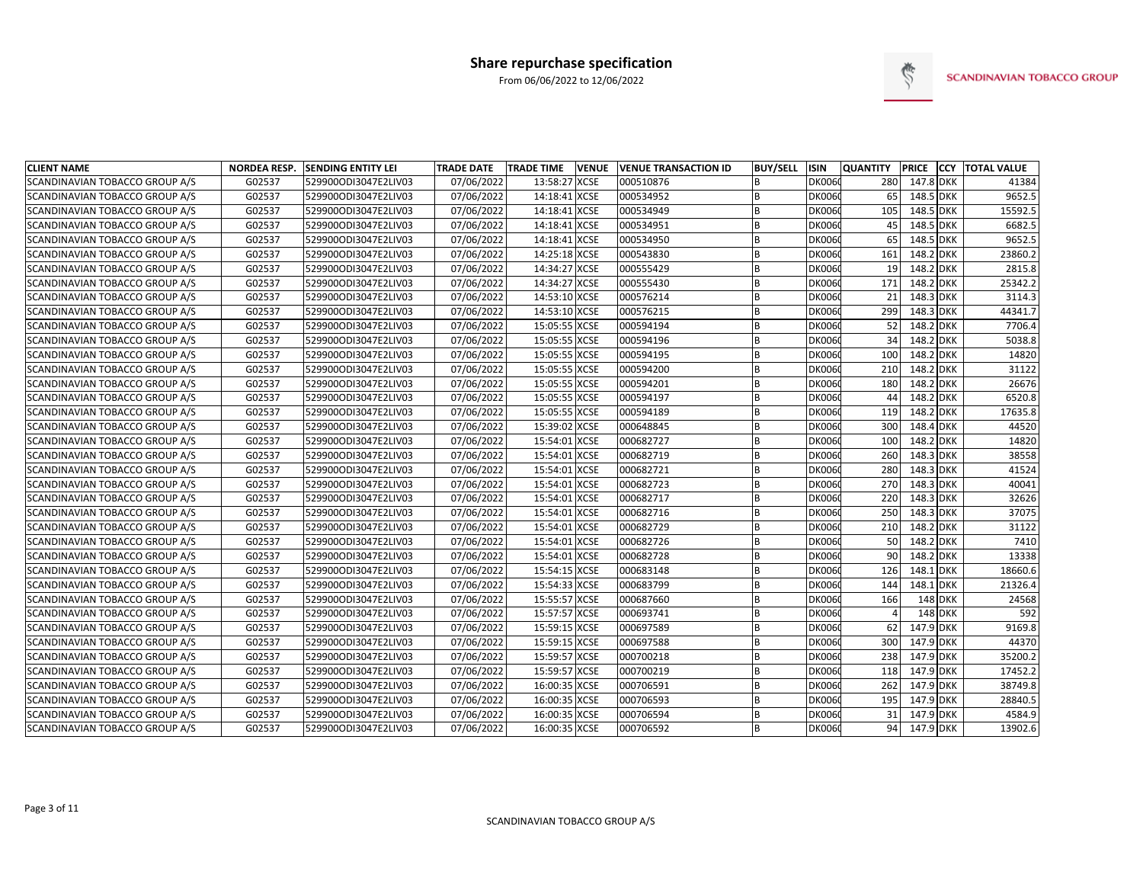

| <b>CLIENT NAME</b>             | <b>NORDEA RESP.</b> | <b>SENDING ENTITY LEI</b> | <b>TRADE DATE</b> | <b>TRADE TIME</b> | <b>VENUE</b> | <b>VENUE TRANSACTION ID</b> | <b>BUY/SELL</b> | <b>ISIN</b>   | <b>QUANTITY</b> | <b>PRICE</b> | <b>CCY TOTAL VALUE</b> |
|--------------------------------|---------------------|---------------------------|-------------------|-------------------|--------------|-----------------------------|-----------------|---------------|-----------------|--------------|------------------------|
| SCANDINAVIAN TOBACCO GROUP A/S | G02537              | 529900ODI3047E2LIV03      | 07/06/2022        | 13:58:27          | <b>XCSE</b>  | 000510876                   | <sub>B</sub>    | DK0060        | 280             | 147.8 DKK    | 41384                  |
| SCANDINAVIAN TOBACCO GROUP A/S | G02537              | 529900ODI3047E2LIV03      | 07/06/2022        | 14:18:41 XCSE     |              | 000534952                   | B               | DK0060        | 65              | 148.5 DKK    | 9652.5                 |
| SCANDINAVIAN TOBACCO GROUP A/S | G02537              | 529900ODI3047E2LIV03      | 07/06/2022        | 14:18:41 XCSE     |              | 000534949                   | B               | <b>DK0060</b> | 105             | 148.5 DKK    | 15592.5                |
| SCANDINAVIAN TOBACCO GROUP A/S | G02537              | 529900ODI3047E2LIV03      | 07/06/2022        | 14:18:41 XCSE     |              | 000534951                   | B               | DK0060        | 45              | 148.5 DKK    | 6682.5                 |
| SCANDINAVIAN TOBACCO GROUP A/S | G02537              | 529900ODI3047E2LIV03      | 07/06/2022        | 14:18:41 XCSE     |              | 000534950                   | B               | <b>DK0060</b> | 65              | 148.5 DKK    | 9652.5                 |
| SCANDINAVIAN TOBACCO GROUP A/S | G02537              | 529900ODI3047E2LIV03      | 07/06/2022        | 14:25:18 XCSE     |              | 000543830                   | <sub>R</sub>    | <b>DK0060</b> | 161             | 148.2 DKK    | 23860.2                |
| SCANDINAVIAN TOBACCO GROUP A/S | G02537              | 529900ODI3047E2LIV03      | 07/06/2022        | 14:34:27 XCSE     |              | 000555429                   | B               | <b>DK0060</b> | 19              | 148.2 DKK    | 2815.8                 |
| SCANDINAVIAN TOBACCO GROUP A/S | G02537              | 529900ODI3047E2LIV03      | 07/06/2022        | 14:34:27 XCSE     |              | 000555430                   | <sub>B</sub>    | <b>DK0060</b> | 171             | 148.2 DKK    | 25342.2                |
| SCANDINAVIAN TOBACCO GROUP A/S | G02537              | 529900ODI3047E2LIV03      | 07/06/2022        | 14:53:10 XCSE     |              | 000576214                   | <sub>R</sub>    | <b>DK0060</b> | 21              | 148.3 DKK    | 3114.3                 |
| SCANDINAVIAN TOBACCO GROUP A/S | G02537              | 529900ODI3047E2LIV03      | 07/06/2022        | 14:53:10 XCSE     |              | 000576215                   | B               | <b>DK0060</b> | 299             | 148.3 DKK    | 44341.7                |
| SCANDINAVIAN TOBACCO GROUP A/S | G02537              | 529900ODI3047E2LIV03      | 07/06/2022        | 15:05:55 XCSE     |              | 000594194                   | B               | <b>DK0060</b> | 52              | 148.2 DKK    | 7706.4                 |
| SCANDINAVIAN TOBACCO GROUP A/S | G02537              | 529900ODI3047E2LIV03      | 07/06/2022        | 15:05:55 XCSE     |              | 000594196                   | B               | <b>DK0060</b> | 34              | 148.2 DKK    | 5038.8                 |
| SCANDINAVIAN TOBACCO GROUP A/S | G02537              | 529900ODI3047E2LIV03      | 07/06/2022        | 15:05:55 XCSE     |              | 000594195                   | B               | DK0060        | 100             | 148.2 DKK    | 14820                  |
| SCANDINAVIAN TOBACCO GROUP A/S | G02537              | 529900ODI3047E2LIV03      | 07/06/2022        | 15:05:55 XCSE     |              | 000594200                   | B               | <b>DK0060</b> | 210             | 148.2 DKK    | 31122                  |
| SCANDINAVIAN TOBACCO GROUP A/S | G02537              | 529900ODI3047E2LIV03      | 07/06/2022        | 15:05:55 XCSE     |              | 000594201                   | B               | <b>DK0060</b> | 180             | 148.2 DKK    | 26676                  |
| SCANDINAVIAN TOBACCO GROUP A/S | G02537              | 529900ODI3047E2LIV03      | 07/06/2022        | 15:05:55 XCSE     |              | 000594197                   | B               | <b>DK0060</b> | 44              | 148.2 DKK    | 6520.8                 |
| SCANDINAVIAN TOBACCO GROUP A/S | G02537              | 529900ODI3047E2LIV03      | 07/06/2022        | 15:05:55 XCSE     |              | 000594189                   | B               | <b>DK0060</b> | 119             | 148.2 DKK    | 17635.8                |
| SCANDINAVIAN TOBACCO GROUP A/S | G02537              | 529900ODI3047E2LIV03      | 07/06/2022        | 15:39:02 XCSE     |              | 000648845                   | <b>B</b>        | <b>DK0060</b> | 300             | 148.4 DKK    | 44520                  |
| SCANDINAVIAN TOBACCO GROUP A/S | G02537              | 529900ODI3047E2LIV03      | 07/06/2022        | 15:54:01 XCSE     |              | 000682727                   | B               | <b>DK0060</b> | 100             | 148.2 DKK    | 14820                  |
| SCANDINAVIAN TOBACCO GROUP A/S | G02537              | 529900ODI3047E2LIV03      | 07/06/2022        | 15:54:01 XCSE     |              | 000682719                   | B               | <b>DK0060</b> | 260             | 148.3 DKK    | 38558                  |
| SCANDINAVIAN TOBACCO GROUP A/S | G02537              | 529900ODI3047E2LIV03      | 07/06/2022        | 15:54:01 XCSE     |              | 000682721                   | B               | <b>DK0060</b> | 280             | 148.3 DKK    | 41524                  |
| SCANDINAVIAN TOBACCO GROUP A/S | G02537              | 529900ODI3047E2LIV03      | 07/06/2022        | 15:54:01 XCSE     |              | 000682723                   | <b>B</b>        | <b>DK0060</b> | 270             | 148.3 DKK    | 40041                  |
| SCANDINAVIAN TOBACCO GROUP A/S | G02537              | 529900ODI3047E2LIV03      | 07/06/2022        | 15:54:01 XCSE     |              | 000682717                   | B               | <b>DK0060</b> | 220             | 148.3 DKK    | 32626                  |
| SCANDINAVIAN TOBACCO GROUP A/S | G02537              | 529900ODI3047E2LIV03      | 07/06/2022        | 15:54:01 XCSE     |              | 000682716                   | B               | <b>DK0060</b> | 250             | 148.3 DKK    | 37075                  |
| SCANDINAVIAN TOBACCO GROUP A/S | G02537              | 529900ODI3047E2LIV03      | 07/06/2022        | 15:54:01 XCSE     |              | 000682729                   | <sub>R</sub>    | <b>DK0060</b> | 210             | 148.2 DKK    | 31122                  |
| SCANDINAVIAN TOBACCO GROUP A/S | G02537              | 529900ODI3047E2LIV03      | 07/06/2022        | 15:54:01 XCSE     |              | 000682726                   | <sub>R</sub>    | <b>DK0060</b> | 50              | 148.2 DKK    | 7410                   |
| SCANDINAVIAN TOBACCO GROUP A/S | G02537              | 529900ODI3047E2LIV03      | 07/06/2022        | 15:54:01 XCSE     |              | 000682728                   | <b>B</b>        | <b>DK0060</b> | 90              | 148.2 DKK    | 13338                  |
| SCANDINAVIAN TOBACCO GROUP A/S | G02537              | 529900ODI3047E2LIV03      | 07/06/2022        | 15:54:15 XCSE     |              | 000683148                   | B               | <b>DK0060</b> | 126             | 148.1 DKK    | 18660.6                |
| SCANDINAVIAN TOBACCO GROUP A/S | G02537              | 529900ODI3047E2LIV03      | 07/06/2022        | 15:54:33 XCSE     |              | 000683799                   | B               | <b>DK0060</b> | 144             | 148.1 DKK    | 21326.4                |
| SCANDINAVIAN TOBACCO GROUP A/S | G02537              | 529900ODI3047E2LIV03      | 07/06/2022        | 15:55:57 XCSE     |              | 000687660                   | B               | DK0060        | 166             | 148 DKK      | 24568                  |
| SCANDINAVIAN TOBACCO GROUP A/S | G02537              | 529900ODI3047E2LIV03      | 07/06/2022        | 15:57:57 XCSE     |              | 000693741                   | B               | <b>DK0060</b> | $\Delta$        | 148 DKK      | 592                    |
| SCANDINAVIAN TOBACCO GROUP A/S | G02537              | 529900ODI3047E2LIV03      | 07/06/2022        | 15:59:15 XCSE     |              | 000697589                   | B               | <b>DK0060</b> | 62              | 147.9 DKK    | 9169.8                 |
| SCANDINAVIAN TOBACCO GROUP A/S | G02537              | 529900ODI3047E2LIV03      | 07/06/2022        | 15:59:15 XCSE     |              | 000697588                   | B               | <b>DK0060</b> | 300             | 147.9 DKK    | 44370                  |
| SCANDINAVIAN TOBACCO GROUP A/S | G02537              | 529900ODI3047E2LIV03      | 07/06/2022        | 15:59:57 XCSE     |              | 000700218                   | B               | <b>DK0060</b> | 238             | 147.9 DKK    | 35200.2                |
| SCANDINAVIAN TOBACCO GROUP A/S | G02537              | 529900ODI3047E2LIV03      | 07/06/2022        | 15:59:57 XCSE     |              | 000700219                   | B               | <b>DK0060</b> | 118             | 147.9 DKK    | 17452.2                |
| SCANDINAVIAN TOBACCO GROUP A/S | G02537              | 529900ODI3047E2LIV03      | 07/06/2022        | 16:00:35 XCSE     |              | 000706591                   | B               | <b>DK0060</b> | 262             | 147.9 DKK    | 38749.8                |
| SCANDINAVIAN TOBACCO GROUP A/S | G02537              | 529900ODI3047E2LIV03      | 07/06/2022        | 16:00:35 XCSE     |              | 000706593                   | B               | DK0060        | 195             | 147.9 DKK    | 28840.5                |
| SCANDINAVIAN TOBACCO GROUP A/S | G02537              | 529900ODI3047E2LIV03      | 07/06/2022        | 16:00:35 XCSE     |              | 000706594                   | B               | <b>DK0060</b> | 31              | 147.9 DKK    | 4584.9                 |
| SCANDINAVIAN TOBACCO GROUP A/S | G02537              | 529900ODI3047E2LIV03      | 07/06/2022        | 16:00:35 XCSE     |              | 000706592                   | <b>B</b>        | DK0060        | 94              | 147.9 DKK    | 13902.6                |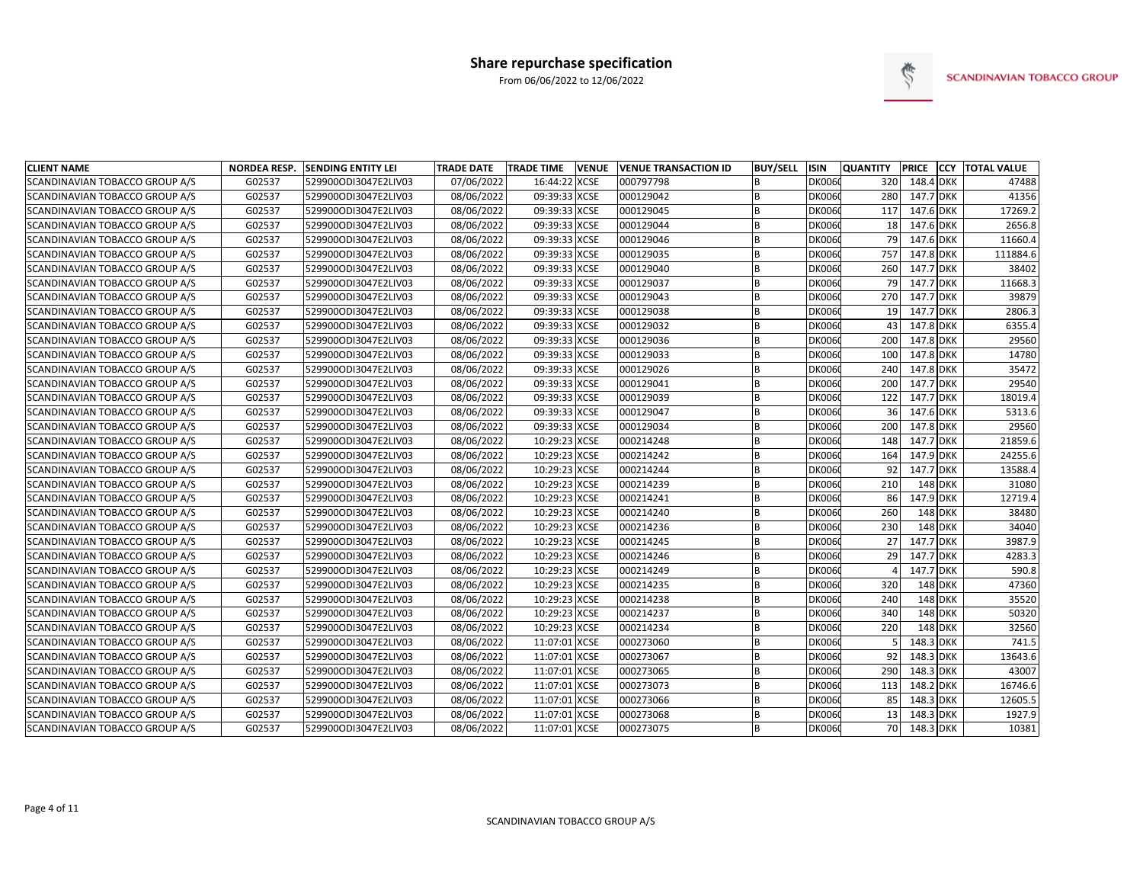

| <b>CLIENT NAME</b>                    | <b>NORDEA RESP.</b> | <b>SENDING ENTITY LEI</b> | <b>TRADE DATE</b> | <b>TRADE TIME</b><br><b>VENUE</b> | <b>VENUE TRANSACTION ID</b> | <b>BUY/SELL</b> | <b>ISIN</b>   | <b>QUANTITY</b> | <b>PRICE</b> |                | <b>CCY TOTAL VALUE</b> |
|---------------------------------------|---------------------|---------------------------|-------------------|-----------------------------------|-----------------------------|-----------------|---------------|-----------------|--------------|----------------|------------------------|
| SCANDINAVIAN TOBACCO GROUP A/S        | G02537              | 529900ODI3047E2LIV03      | 07/06/2022        | 16:44:22 XCSE                     | 000797798                   | <sub>B</sub>    | <b>DK0060</b> | 320             | 148.4 DKK    |                | 47488                  |
| SCANDINAVIAN TOBACCO GROUP A/S        | G02537              | 529900ODI3047E2LIV03      | 08/06/2022        | 09:39:33 XCSE                     | 000129042                   | B               | DK0060        | 280             | 147.7 DKK    |                | 41356                  |
| SCANDINAVIAN TOBACCO GROUP A/S        | G02537              | 529900ODI3047E2LIV03      | 08/06/2022        | 09:39:33 XCSE                     | 000129045                   | B               | <b>DK0060</b> | 117             | 147.6 DKK    |                | 17269.2                |
| SCANDINAVIAN TOBACCO GROUP A/S        | G02537              | 529900ODI3047E2LIV03      | 08/06/2022        | 09:39:33 XCSE                     | 000129044                   | B               | <b>DK0060</b> | 18              | 147.6 DKK    |                | 2656.8                 |
| SCANDINAVIAN TOBACCO GROUP A/S        | G02537              | 529900ODI3047E2LIV03      | 08/06/2022        | 09:39:33 XCSE                     | 000129046                   |                 | <b>DK0060</b> | 79              | 147.6 DKK    |                | 11660.4                |
| SCANDINAVIAN TOBACCO GROUP A/S        | G02537              | 529900ODI3047E2LIV03      | 08/06/2022        | 09:39:33 XCSE                     | 000129035                   | B               | <b>DK0060</b> | 757             | 147.8 DKK    |                | 111884.6               |
| <b>SCANDINAVIAN TOBACCO GROUP A/S</b> | G02537              | 529900ODI3047E2LIV03      | 08/06/2022        | 09:39:33 XCSE                     | 000129040                   | <b>B</b>        | <b>DK0060</b> | 260             | 147.7 DKK    |                | 38402                  |
| SCANDINAVIAN TOBACCO GROUP A/S        | G02537              | 529900ODI3047E2LIV03      | 08/06/2022        | 09:39:33 XCSE                     | 000129037                   | B               | <b>DK0060</b> | 79              | 147.7 DKK    |                | 11668.3                |
| SCANDINAVIAN TOBACCO GROUP A/S        | G02537              | 529900ODI3047E2LIV03      | 08/06/2022        | 09:39:33 XCSE                     | 000129043                   | B               | <b>DK0060</b> | 270             | 147.7 DKK    |                | 39879                  |
| SCANDINAVIAN TOBACCO GROUP A/S        | G02537              | 529900ODI3047E2LIV03      | 08/06/2022        | 09:39:33 XCSE                     | 000129038                   | B               | <b>DK0060</b> | 19              | 147.7 DKK    |                | 2806.3                 |
| SCANDINAVIAN TOBACCO GROUP A/S        | G02537              | 529900ODI3047E2LIV03      | 08/06/2022        | 09:39:33 XCSE                     | 000129032                   | B               | <b>DK0060</b> | 43              | 147.8 DKK    |                | 6355.4                 |
| SCANDINAVIAN TOBACCO GROUP A/S        | G02537              | 529900ODI3047E2LIV03      | 08/06/2022        | 09:39:33 XCSE                     | 000129036                   | B               | <b>DK0060</b> | 200             | 147.8 DKK    |                | 29560                  |
| SCANDINAVIAN TOBACCO GROUP A/S        | G02537              | 529900ODI3047E2LIV03      | 08/06/2022        | 09:39:33 XCSE                     | 000129033                   | B               | <b>DK0060</b> | 100             | 147.8 DKK    |                | 14780                  |
| SCANDINAVIAN TOBACCO GROUP A/S        | G02537              | 529900ODI3047E2LIV03      | 08/06/2022        | 09:39:33 XCSE                     | 000129026                   | B               | <b>DK0060</b> | 240             | 147.8 DKK    |                | 35472                  |
| <b>SCANDINAVIAN TOBACCO GROUP A/S</b> | G02537              | 529900ODI3047E2LIV03      | 08/06/2022        | 09:39:33 XCSE                     | 000129041                   | B               | <b>DK0060</b> | 200             | 147.7 DKK    |                | 29540                  |
| SCANDINAVIAN TOBACCO GROUP A/S        | G02537              | 529900ODI3047E2LIV03      | 08/06/2022        | 09:39:33 XCSE                     | 000129039                   | B               | <b>DK0060</b> | 122             | 147.7 DKK    |                | 18019.4                |
| SCANDINAVIAN TOBACCO GROUP A/S        | G02537              | 529900ODI3047E2LIV03      | 08/06/2022        | 09:39:33 XCSE                     | 000129047                   | B               | <b>DK0060</b> | 36              | 147.6 DKK    |                | 5313.6                 |
| SCANDINAVIAN TOBACCO GROUP A/S        | G02537              | 529900ODI3047E2LIV03      | 08/06/2022        | 09:39:33 XCSE                     | 000129034                   | B               | <b>DK0060</b> | 200             | 147.8 DKK    |                | 29560                  |
| SCANDINAVIAN TOBACCO GROUP A/S        | G02537              | 529900ODI3047E2LIV03      | 08/06/2022        | 10:29:23 XCSE                     | 000214248                   | <b>B</b>        | <b>DK0060</b> | 148             | 147.7 DKK    |                | 21859.6                |
| SCANDINAVIAN TOBACCO GROUP A/S        | G02537              | 529900ODI3047E2LIV03      | 08/06/2022        | 10:29:23 XCSE                     | 000214242                   | B               | <b>DK0060</b> | 164             | 147.9 DKK    |                | 24255.6                |
| SCANDINAVIAN TOBACCO GROUP A/S        | G02537              | 529900ODI3047E2LIV03      | 08/06/2022        | 10:29:23 XCSE                     | 000214244                   | B               | <b>DK0060</b> | 92              | 147.7 DKK    |                | 13588.4                |
| SCANDINAVIAN TOBACCO GROUP A/S        | G02537              | 529900ODI3047E2LIV03      | 08/06/2022        | 10:29:23 XCSE                     | 000214239                   |                 | <b>DK0060</b> | 210             |              | 148 DKK        | 31080                  |
| SCANDINAVIAN TOBACCO GROUP A/S        | G02537              | 529900ODI3047E2LIV03      | 08/06/2022        | 10:29:23 XCSE                     | 000214241                   | B               | <b>DK0060</b> | 86              | 147.9 DKK    |                | 12719.4                |
| SCANDINAVIAN TOBACCO GROUP A/S        | G02537              | 529900ODI3047E2LIV03      | 08/06/2022        | 10:29:23 XCSE                     | 000214240                   | <sub>B</sub>    | <b>DK0060</b> | 260             |              | 148 DKK        | 38480                  |
| SCANDINAVIAN TOBACCO GROUP A/S        | G02537              | 529900ODI3047E2LIV03      | 08/06/2022        | 10:29:23 XCSE                     | 000214236                   | B               | <b>DK0060</b> | 230             |              | 148 DKK        | 34040                  |
| SCANDINAVIAN TOBACCO GROUP A/S        | G02537              | 529900ODI3047E2LIV03      | 08/06/2022        | 10:29:23 XCSE                     | 000214245                   | B               | <b>DK0060</b> | 27              | 147.7 DKK    |                | 3987.9                 |
| SCANDINAVIAN TOBACCO GROUP A/S        | G02537              | 529900ODI3047E2LIV03      | 08/06/2022        | 10:29:23 XCSE                     | 000214246                   | B               | <b>DK0060</b> | 29              | 147.7 DKK    |                | 4283.3                 |
| SCANDINAVIAN TOBACCO GROUP A/S        | G02537              | 529900ODI3047E2LIV03      | 08/06/2022        | 10:29:23 XCSE                     | 000214249                   | B               | <b>DK0060</b> |                 | 147.7 DKK    |                | 590.8                  |
| SCANDINAVIAN TOBACCO GROUP A/S        | G02537              | 529900ODI3047E2LIV03      | 08/06/2022        | 10:29:23 XCSE                     | 000214235                   | B               | DK0060        | 320             |              | 148 DKK        | 47360                  |
| SCANDINAVIAN TOBACCO GROUP A/S        | G02537              | 529900ODI3047E2LIV03      | 08/06/2022        | 10:29:23 XCSE                     | 000214238                   | B               | <b>DK0060</b> | 240             |              | 148 DKK        | 35520                  |
| SCANDINAVIAN TOBACCO GROUP A/S        | G02537              | 529900ODI3047E2LIV03      | 08/06/2022        | 10:29:23 XCSE                     | 000214237                   | B               | <b>DK0060</b> | 340             |              | <b>148 DKK</b> | 50320                  |
| SCANDINAVIAN TOBACCO GROUP A/S        | G02537              | 529900ODI3047E2LIV03      | 08/06/2022        | 10:29:23 XCSE                     | 000214234                   | B               | DK0060        | 220             |              | 148 DKK        | 32560                  |
| SCANDINAVIAN TOBACCO GROUP A/S        | G02537              | 529900ODI3047E2LIV03      | 08/06/2022        | 11:07:01 XCSE                     | 000273060                   | B               | <b>DK0060</b> |                 | 148.3 DKK    |                | 741.5                  |
| SCANDINAVIAN TOBACCO GROUP A/S        | G02537              | 529900ODI3047E2LIV03      | 08/06/2022        | 11:07:01 XCSE                     | 000273067                   | B               | <b>DK0060</b> | 92              | 148.3 DKK    |                | 13643.6                |
| SCANDINAVIAN TOBACCO GROUP A/S        | G02537              | 529900ODI3047E2LIV03      | 08/06/2022        | 11:07:01 XCSE                     | 000273065                   | B               | <b>DK0060</b> | 290             | 148.3 DKK    |                | 43007                  |
| SCANDINAVIAN TOBACCO GROUP A/S        | G02537              | 529900ODI3047E2LIV03      | 08/06/2022        | 11:07:01 XCSE                     | 000273073                   | <b>B</b>        | <b>DK0060</b> | 113             | 148.2 DKK    |                | 16746.6                |
| SCANDINAVIAN TOBACCO GROUP A/S        | G02537              | 529900ODI3047E2LIV03      | 08/06/2022        | 11:07:01 XCSE                     | 000273066                   | B               | <b>DK0060</b> | 85              | 148.3 DKK    |                | 12605.5                |
| SCANDINAVIAN TOBACCO GROUP A/S        | G02537              | 529900ODI3047E2LIV03      | 08/06/2022        | 11:07:01 XCSE                     | 000273068                   | B               | DK0060        | 13              | 148.3 DKK    |                | 1927.9                 |
| SCANDINAVIAN TOBACCO GROUP A/S        | G02537              | 529900ODI3047E2LIV03      | 08/06/2022        | 11:07:01 XCSE                     | 000273075                   |                 | DK0060        | 70              | 148.3 DKK    |                | 10381                  |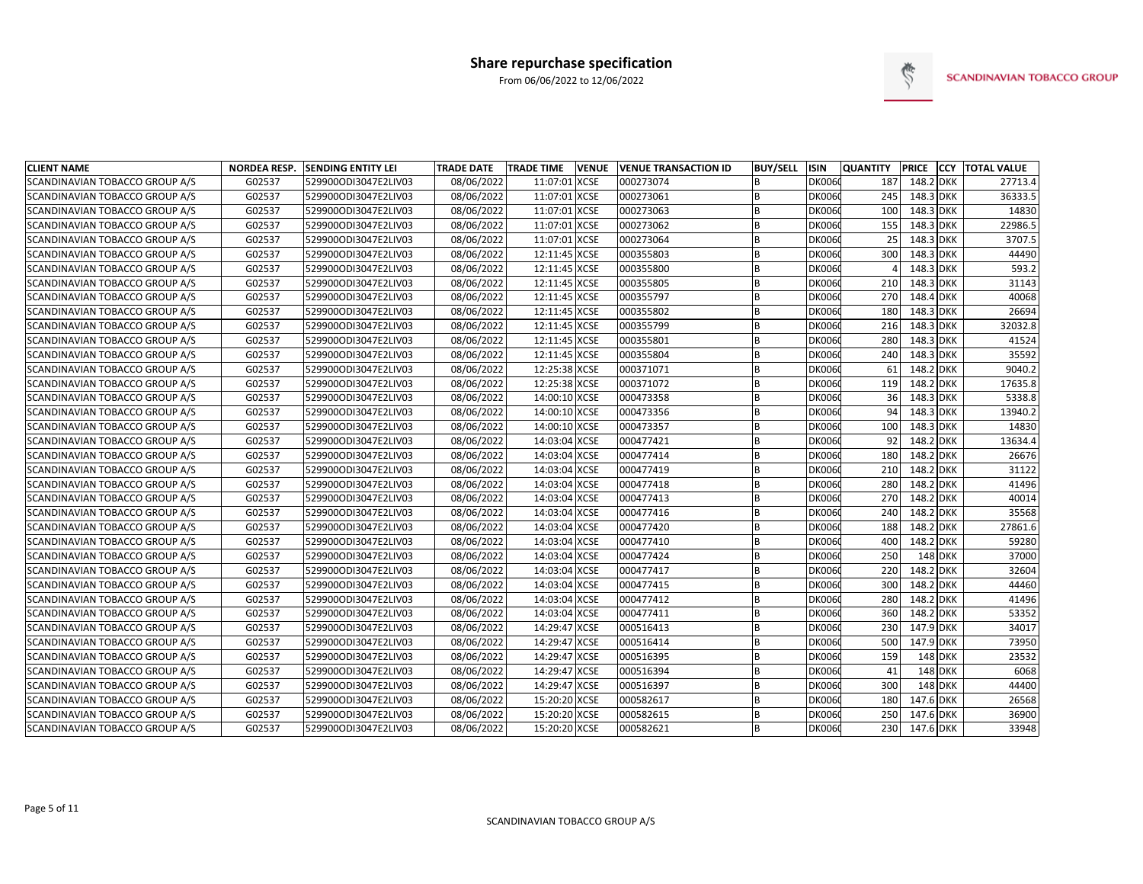

| <b>CLIENT NAME</b>             | <b>NORDEA RESP.</b> | <b>SENDING ENTITY LEI</b> | <b>TRADE DATE</b> | <b>TRADE TIME</b> | <b>VENUE</b> | <b>VENUE TRANSACTION ID</b> | <b>BUY/SELL</b> | <b>ISIN</b>   | <b>QUANTITY</b> | PRICE          | <b>CCY TOTAL VALUE</b> |
|--------------------------------|---------------------|---------------------------|-------------------|-------------------|--------------|-----------------------------|-----------------|---------------|-----------------|----------------|------------------------|
| SCANDINAVIAN TOBACCO GROUP A/S | G02537              | 529900ODI3047E2LIV03      | 08/06/2022        | 11:07:01 XCSE     |              | 000273074                   | R               | <b>DK0060</b> | 187             | 148.2 DKK      | 27713.4                |
| SCANDINAVIAN TOBACCO GROUP A/S | G02537              | 529900ODI3047E2LIV03      | 08/06/2022        | 11:07:01 XCSE     |              | 000273061                   | R               | <b>DK0060</b> | 245             | 148.3 DKK      | 36333.5                |
| SCANDINAVIAN TOBACCO GROUP A/S | G02537              | 529900ODI3047E2LIV03      | 08/06/2022        | 11:07:01 XCSE     |              | 000273063                   | B               | <b>DK0060</b> | 100             | 148.3 DKK      | 14830                  |
| SCANDINAVIAN TOBACCO GROUP A/S | G02537              | 529900ODI3047E2LIV03      | 08/06/2022        | 11:07:01 XCSE     |              | 000273062                   | B               | <b>DK006</b>  | 155             | 148.3 DKK      | 22986.5                |
| SCANDINAVIAN TOBACCO GROUP A/S | G02537              | 529900ODI3047E2LIV03      | 08/06/2022        | 11:07:01 XCSE     |              | 000273064                   | B               | <b>DK006</b>  | 25              | 148.3 DKK      | 3707.5                 |
| SCANDINAVIAN TOBACCO GROUP A/S | G02537              | 529900ODI3047E2LIV03      | 08/06/2022        | 12:11:45 XCSE     |              | 000355803                   | B               | <b>DK0060</b> | 300             | 148.3 DKK      | 44490                  |
| SCANDINAVIAN TOBACCO GROUP A/S | G02537              | 529900ODI3047E2LIV03      | 08/06/2022        | 12:11:45 XCSE     |              | 000355800                   | B               | <b>DK006</b>  |                 | 148.3 DKK      | 593.2                  |
| SCANDINAVIAN TOBACCO GROUP A/S | G02537              | 529900ODI3047E2LIV03      | 08/06/2022        | 12:11:45 XCSE     |              | 000355805                   | R               | <b>DK0060</b> | 210             | 148.3 DKK      | 31143                  |
| SCANDINAVIAN TOBACCO GROUP A/S | G02537              | 529900ODI3047E2LIV03      | 08/06/2022        | 12:11:45 XCSE     |              | 000355797                   | R               | <b>DK006</b>  | 270             | 148.4 DKK      | 40068                  |
| SCANDINAVIAN TOBACCO GROUP A/S | G02537              | 529900ODI3047E2LIV03      | 08/06/2022        | 12:11:45 XCSE     |              | 000355802                   | R               | <b>DK006</b>  | 180             | 148.3 DKK      | 26694                  |
| SCANDINAVIAN TOBACCO GROUP A/S | G02537              | 529900ODI3047E2LIV03      | 08/06/2022        | 12:11:45 XCSE     |              | 000355799                   | B               | <b>DK006</b>  | 216             | 148.3 DKK      | 32032.8                |
| SCANDINAVIAN TOBACCO GROUP A/S | G02537              | 529900ODI3047E2LIV03      | 08/06/2022        | 12:11:45 XCSE     |              | 000355801                   | R               | DK0060        | 280             | 148.3 DKK      | 41524                  |
| SCANDINAVIAN TOBACCO GROUP A/S | G02537              | 529900ODI3047E2LIV03      | 08/06/2022        | 12:11:45 XCSE     |              | 000355804                   | B               | <b>DK006</b>  | 240             | 148.3 DKK      | 35592                  |
| SCANDINAVIAN TOBACCO GROUP A/S | G02537              | 529900ODI3047E2LIV03      | 08/06/2022        | 12:25:38 XCSE     |              | 000371071                   | R               | <b>DK0060</b> | 61              | 148.2 DKK      | 9040.2                 |
| SCANDINAVIAN TOBACCO GROUP A/S | G02537              | 529900ODI3047E2LIV03      | 08/06/2022        | 12:25:38 XCSE     |              | 000371072                   | B               | <b>DK006</b>  | 119             | 148.2 DKK      | 17635.8                |
| SCANDINAVIAN TOBACCO GROUP A/S | G02537              | 529900ODI3047E2LIV03      | 08/06/2022        | 14:00:10 XCSE     |              | 000473358                   | R               | <b>DK006</b>  | 36              | 148.3 DKK      | 5338.8                 |
| SCANDINAVIAN TOBACCO GROUP A/S | G02537              | 529900ODI3047E2LIV03      | 08/06/2022        | 14:00:10 XCSE     |              | 000473356                   | B               | <b>DK0060</b> | 94              | 148.3 DKK      | 13940.2                |
| SCANDINAVIAN TOBACCO GROUP A/S | G02537              | 529900ODI3047E2LIV03      | 08/06/2022        | 14:00:10 XCSE     |              | 000473357                   | R               | <b>DK0060</b> | 100             | 148.3 DKK      | 14830                  |
| SCANDINAVIAN TOBACCO GROUP A/S | G02537              | 529900ODI3047E2LIV03      | 08/06/2022        | 14:03:04 XCSE     |              | 000477421                   | B               | <b>DK006</b>  | 92              | 148.2 DKK      | 13634.4                |
| SCANDINAVIAN TOBACCO GROUP A/S | G02537              | 529900ODI3047E2LIV03      | 08/06/2022        | 14:03:04 XCSE     |              | 000477414                   | B               | <b>DK006</b>  | 180             | 148.2 DKK      | 26676                  |
| SCANDINAVIAN TOBACCO GROUP A/S | G02537              | 529900ODI3047E2LIV03      | 08/06/2022        | 14:03:04 XCSE     |              | 000477419                   | B               | <b>DK006</b>  | 210             | 148.2 DKK      | 31122                  |
| SCANDINAVIAN TOBACCO GROUP A/S | G02537              | 529900ODI3047E2LIV03      | 08/06/2022        | 14:03:04 XCSE     |              | 000477418                   | R               | <b>DK006</b>  | 280             | 148.2 DKK      | 41496                  |
| SCANDINAVIAN TOBACCO GROUP A/S | G02537              | 529900ODI3047E2LIV03      | 08/06/2022        | 14:03:04 XCSE     |              | 000477413                   | R               | <b>DK006</b>  | 270             | 148.2 DKK      | 40014                  |
| SCANDINAVIAN TOBACCO GROUP A/S | G02537              | 529900ODI3047E2LIV03      | 08/06/2022        | 14:03:04 XCSE     |              | 000477416                   | R               | <b>DK006</b>  | 240             | 148.2 DKK      | 35568                  |
| SCANDINAVIAN TOBACCO GROUP A/S | G02537              | 529900ODI3047E2LIV03      | 08/06/2022        | 14:03:04 XCSE     |              | 000477420                   | B               | <b>DK006</b>  | 188             | 148.2 DKK      | 27861.6                |
| SCANDINAVIAN TOBACCO GROUP A/S | G02537              | 529900ODI3047E2LIV03      | 08/06/2022        | 14:03:04 XCSE     |              | 000477410                   | R               | <b>DK0060</b> | 400             | 148.2 DKK      | 59280                  |
| SCANDINAVIAN TOBACCO GROUP A/S | G02537              | 529900ODI3047E2LIV03      | 08/06/2022        | 14:03:04 XCSE     |              | 000477424                   | B               | <b>DK006</b>  | 250             | 148 DKK        | 37000                  |
| SCANDINAVIAN TOBACCO GROUP A/S | G02537              | 529900ODI3047E2LIV03      | 08/06/2022        | 14:03:04 XCSE     |              | 000477417                   | R               | <b>DK0060</b> | 220             | 148.2 DKK      | 32604                  |
| SCANDINAVIAN TOBACCO GROUP A/S | G02537              | 529900ODI3047E2LIV03      | 08/06/2022        | 14:03:04 XCSE     |              | 000477415                   | B               | <b>DK006</b>  | 300             | 148.2 DKK      | 44460                  |
| SCANDINAVIAN TOBACCO GROUP A/S | G02537              | 529900ODI3047E2LIV03      | 08/06/2022        | 14:03:04 XCSE     |              | 000477412                   | R               | <b>DK006</b>  | 280             | 148.2 DKK      | 41496                  |
| SCANDINAVIAN TOBACCO GROUP A/S | G02537              | 529900ODI3047E2LIV03      | 08/06/2022        | 14:03:04 XCSE     |              | 000477411                   | B               | <b>DK006</b>  | 360             | 148.2 DKK      | 53352                  |
| SCANDINAVIAN TOBACCO GROUP A/S | G02537              | 529900ODI3047E2LIV03      | 08/06/2022        | 14:29:47 XCSE     |              | 000516413                   | B               | <b>DK006</b>  | 230             | 147.9 DKK      | 34017                  |
| SCANDINAVIAN TOBACCO GROUP A/S | G02537              | 529900ODI3047E2LIV03      | 08/06/2022        | 14:29:47 XCSE     |              | 000516414                   | R               | <b>DK0060</b> | 500             | 147.9 DKK      | 73950                  |
| SCANDINAVIAN TOBACCO GROUP A/S | G02537              | 529900ODI3047E2LIV03      | 08/06/2022        | 14:29:47 XCSE     |              | 000516395                   | R               | <b>DK006</b>  | 159             | <b>148 DKK</b> | 23532                  |
| SCANDINAVIAN TOBACCO GROUP A/S | G02537              | 529900ODI3047E2LIV03      | 08/06/2022        | 14:29:47 XCSE     |              | 000516394                   | R               | DK0060        | 41              | 148 DKK        | 6068                   |
| SCANDINAVIAN TOBACCO GROUP A/S | G02537              | 529900ODI3047E2LIV03      | 08/06/2022        | 14:29:47 XCSE     |              | 000516397                   | B               | <b>DK006</b>  | 300             | 148 DKK        | 44400                  |
| SCANDINAVIAN TOBACCO GROUP A/S | G02537              | 529900ODI3047E2LIV03      | 08/06/2022        | 15:20:20 XCSE     |              | 000582617                   | R               | <b>DK006</b>  | 180             | 147.6 DKK      | 26568                  |
| SCANDINAVIAN TOBACCO GROUP A/S | G02537              | 529900ODI3047E2LIV03      | 08/06/2022        | 15:20:20 XCSE     |              | 000582615                   | R               | <b>DK006</b>  | 250             | 147.6 DKK      | 36900                  |
| SCANDINAVIAN TOBACCO GROUP A/S | G02537              | 529900ODI3047E2LIV03      | 08/06/2022        | 15:20:20 XCSE     |              | 000582621                   |                 | <b>DK0060</b> | 230             | 147.6 DKK      | 33948                  |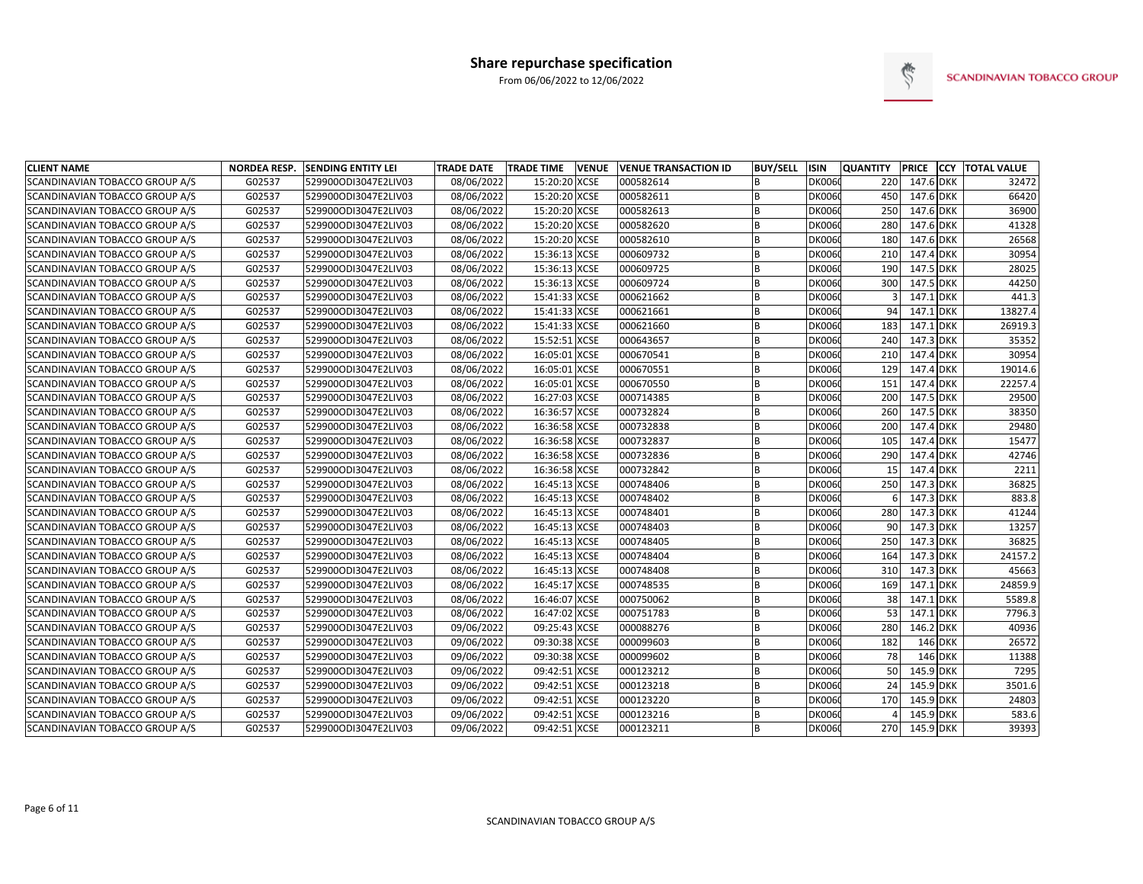

| <b>CLIENT NAME</b>             |        | NORDEA RESP. SENDING ENTITY LEI | <b>TRADE DATE</b> | <b>TRADE TIME</b> | <b>VENUE</b> | <b>VENUE TRANSACTION ID</b> | <b>BUY/SELL</b> | <b>ISIN</b>   | <b>QUANTITY</b> | <b>PRICE</b> |                | <b>CCY TOTAL VALUE</b> |
|--------------------------------|--------|---------------------------------|-------------------|-------------------|--------------|-----------------------------|-----------------|---------------|-----------------|--------------|----------------|------------------------|
| SCANDINAVIAN TOBACCO GROUP A/S | G02537 | 529900ODI3047E2LIV03            | 08/06/2022        | 15:20:20 XCSE     |              | 000582614                   | B               | DK0060        | 220             | 147.6 DKK    |                | 32472                  |
| SCANDINAVIAN TOBACCO GROUP A/S | G02537 | 529900ODI3047E2LIV03            | 08/06/2022        | 15:20:20 XCSE     |              | 000582611                   | <sub>R</sub>    | <b>DK0060</b> | 450             | 147.6 DKK    |                | 66420                  |
| SCANDINAVIAN TOBACCO GROUP A/S | G02537 | 529900ODI3047E2LIV03            | 08/06/2022        | 15:20:20 XCSE     |              | 000582613                   | B               | <b>DK0060</b> | 250             | 147.6 DKK    |                | 36900                  |
| SCANDINAVIAN TOBACCO GROUP A/S | G02537 | 529900ODI3047E2LIV03            | 08/06/2022        | 15:20:20 XCSE     |              | 000582620                   | B               | <b>DK0060</b> | 280             | 147.6 DKK    |                | 41328                  |
| SCANDINAVIAN TOBACCO GROUP A/S | G02537 | 529900ODI3047E2LIV03            | 08/06/2022        | 15:20:20 XCSE     |              | 000582610                   | B               | <b>DK0060</b> | 180             | 147.6 DKK    |                | 26568                  |
| SCANDINAVIAN TOBACCO GROUP A/S | G02537 | 529900ODI3047E2LIV03            | 08/06/2022        | 15:36:13 XCSE     |              | 000609732                   | B               | <b>DK0060</b> | 210             | 147.4 DKK    |                | 30954                  |
| SCANDINAVIAN TOBACCO GROUP A/S | G02537 | 529900ODI3047E2LIV03            | 08/06/2022        | 15:36:13 XCSE     |              | 000609725                   |                 | <b>DK0060</b> | 190             | 147.5 DKK    |                | 28025                  |
| SCANDINAVIAN TOBACCO GROUP A/S | G02537 | 529900ODI3047E2LIV03            | 08/06/2022        | 15:36:13 XCSE     |              | 000609724                   | B               | <b>DK0060</b> | 300             | 147.5 DKK    |                | 44250                  |
| SCANDINAVIAN TOBACCO GROUP A/S | G02537 | 529900ODI3047E2LIV03            | 08/06/2022        | 15:41:33 XCSE     |              | 000621662                   | <sub>R</sub>    | <b>DK0060</b> |                 | 147.1 DKK    |                | 441.3                  |
| SCANDINAVIAN TOBACCO GROUP A/S | G02537 | 529900ODI3047E2LIV03            | 08/06/2022        | 15:41:33 XCSE     |              | 000621661                   | <sub>R</sub>    | <b>DK0060</b> | 94              | 147.1 DKK    |                | 13827.4                |
| SCANDINAVIAN TOBACCO GROUP A/S | G02537 | 529900ODI3047E2LIV03            | 08/06/2022        | 15:41:33 XCSE     |              | 000621660                   | B               | <b>DK0060</b> | 183             | 147.1 DKK    |                | 26919.3                |
| SCANDINAVIAN TOBACCO GROUP A/S | G02537 | 529900ODI3047E2LIV03            | 08/06/2022        | 15:52:51 XCSE     |              | 000643657                   | B               | <b>DK0060</b> | 240             | 147.3 DKK    |                | 35352                  |
| SCANDINAVIAN TOBACCO GROUP A/S | G02537 | 529900ODI3047E2LIV03            | 08/06/2022        | 16:05:01 XCSE     |              | 000670541                   | B               | <b>DK0060</b> | 210             | 147.4 DKK    |                | 30954                  |
| SCANDINAVIAN TOBACCO GROUP A/S | G02537 | 529900ODI3047E2LIV03            | 08/06/2022        | 16:05:01 XCSE     |              | 000670551                   | B               | <b>DK0060</b> | 129             | 147.4 DKK    |                | 19014.6                |
| SCANDINAVIAN TOBACCO GROUP A/S | G02537 | 529900ODI3047E2LIV03            | 08/06/2022        | 16:05:01 XCSE     |              | 000670550                   | B               | <b>DK0060</b> | 151             | 147.4 DKK    |                | 22257.4                |
| SCANDINAVIAN TOBACCO GROUP A/S | G02537 | 529900ODI3047E2LIV03            | 08/06/2022        | 16:27:03 XCSE     |              | 000714385                   | B               | <b>DK0060</b> | 200             | 147.5 DKK    |                | 29500                  |
| SCANDINAVIAN TOBACCO GROUP A/S | G02537 | 529900ODI3047E2LIV03            | 08/06/2022        | 16:36:57 XCSE     |              | 000732824                   | <sub>B</sub>    | <b>DK0060</b> | 260             | 147.5 DKK    |                | 38350                  |
| SCANDINAVIAN TOBACCO GROUP A/S | G02537 | 529900ODI3047E2LIV03            | 08/06/2022        | 16:36:58 XCSE     |              | 000732838                   | B               | <b>DK0060</b> | 200             | 147.4 DKK    |                | 29480                  |
| SCANDINAVIAN TOBACCO GROUP A/S | G02537 | 529900ODI3047E2LIV03            | 08/06/2022        | 16:36:58 XCSE     |              | 000732837                   | B               | <b>DK0060</b> | 105             | 147.4 DKK    |                | 15477                  |
| SCANDINAVIAN TOBACCO GROUP A/S | G02537 | 529900ODI3047E2LIV03            | 08/06/2022        | 16:36:58 XCSE     |              | 000732836                   | B               | <b>DK0060</b> | 290             | 147.4 DKK    |                | 42746                  |
| SCANDINAVIAN TOBACCO GROUP A/S | G02537 | 529900ODI3047E2LIV03            | 08/06/2022        | 16:36:58 XCSE     |              | 000732842                   | B               | <b>DK0060</b> | 15              | 147.4 DKK    |                | 2211                   |
| SCANDINAVIAN TOBACCO GROUP A/S | G02537 | 529900ODI3047E2LIV03            | 08/06/2022        | 16:45:13 XCSE     |              | 000748406                   | B               | <b>DK0060</b> | 250             | 147.3 DKK    |                | 36825                  |
| SCANDINAVIAN TOBACCO GROUP A/S | G02537 | 529900ODI3047E2LIV03            | 08/06/2022        | 16:45:13 XCSE     |              | 000748402                   |                 | <b>DK0060</b> | 6               | 147.3 DKK    |                | 883.8                  |
| SCANDINAVIAN TOBACCO GROUP A/S | G02537 | 529900ODI3047E2LIV03            | 08/06/2022        | 16:45:13 XCSE     |              | 000748401                   |                 | <b>DK0060</b> | 280             | 147.3 DKK    |                | 41244                  |
| SCANDINAVIAN TOBACCO GROUP A/S | G02537 | 529900ODI3047E2LIV03            | 08/06/2022        | 16:45:13 XCSE     |              | 000748403                   | <sub>R</sub>    | <b>DK0060</b> | 90              | 147.3 DKK    |                | 13257                  |
| SCANDINAVIAN TOBACCO GROUP A/S | G02537 | 529900ODI3047E2LIV03            | 08/06/2022        | 16:45:13 XCSE     |              | 000748405                   | <sub>B</sub>    | <b>DK0060</b> | 250             | 147.3 DKK    |                | 36825                  |
| SCANDINAVIAN TOBACCO GROUP A/S | G02537 | 529900ODI3047E2LIV03            | 08/06/2022        | 16:45:13 XCSE     |              | 000748404                   | B               | <b>DK0060</b> | 164             | 147.3 DKK    |                | 24157.2                |
| SCANDINAVIAN TOBACCO GROUP A/S | G02537 | 529900ODI3047E2LIV03            | 08/06/2022        | 16:45:13 XCSE     |              | 000748408                   | <b>B</b>        | <b>DK0060</b> | 310             | 147.3 DKK    |                | 45663                  |
| SCANDINAVIAN TOBACCO GROUP A/S | G02537 | 529900ODI3047E2LIV03            | 08/06/2022        | 16:45:17 XCSE     |              | 000748535                   | B               | <b>DK0060</b> | 169             | 147.1 DKK    |                | 24859.9                |
| SCANDINAVIAN TOBACCO GROUP A/S | G02537 | 529900ODI3047E2LIV03            | 08/06/2022        | 16:46:07 XCSE     |              | 000750062                   | B               | <b>DK0060</b> | 38              | 147.1 DKK    |                | 5589.8                 |
| SCANDINAVIAN TOBACCO GROUP A/S | G02537 | 529900ODI3047E2LIV03            | 08/06/2022        | 16:47:02 XCSE     |              | 000751783                   | B               | <b>DK0060</b> | 53              | 147.1 DKK    |                | 7796.3                 |
| SCANDINAVIAN TOBACCO GROUP A/S | G02537 | 529900ODI3047E2LIV03            | 09/06/2022        | 09:25:43 XCSE     |              | 000088276                   | B               | <b>DK0060</b> | 280             | 146.2 DKK    |                | 40936                  |
| SCANDINAVIAN TOBACCO GROUP A/S | G02537 | 529900ODI3047E2LIV03            | 09/06/2022        | 09:30:38 XCSE     |              | 000099603                   | <sub>B</sub>    | <b>DK0060</b> | 182             | 146 DKK      |                | 26572                  |
| SCANDINAVIAN TOBACCO GROUP A/S | G02537 | 529900ODI3047E2LIV03            | 09/06/2022        | 09:30:38 XCSE     |              | 000099602                   | B               | <b>DK0060</b> | 78              |              | <b>146 DKK</b> | 11388                  |
| SCANDINAVIAN TOBACCO GROUP A/S | G02537 | 529900ODI3047E2LIV03            | 09/06/2022        | 09:42:51 XCSE     |              | 000123212                   | B               | <b>DK0060</b> | 50              | 145.9 DKK    |                | 7295                   |
| SCANDINAVIAN TOBACCO GROUP A/S | G02537 | 529900ODI3047E2LIV03            | 09/06/2022        | 09:42:51 XCSE     |              | 000123218                   | B               | <b>DK0060</b> | 24              | 145.9 DKK    |                | 3501.6                 |
| SCANDINAVIAN TOBACCO GROUP A/S | G02537 | 529900ODI3047E2LIV03            | 09/06/2022        | 09:42:51 XCSE     |              | 000123220                   | B               | DK0060        | 170             | 145.9 DKK    |                | 24803                  |
| SCANDINAVIAN TOBACCO GROUP A/S | G02537 | 529900ODI3047E2LIV03            | 09/06/2022        | 09:42:51 XCSE     |              | 000123216                   | B               | <b>DK0060</b> |                 | 145.9 DKK    |                | 583.6                  |
| SCANDINAVIAN TOBACCO GROUP A/S | G02537 | 529900ODI3047E2LIV03            | 09/06/2022        | 09:42:51 XCSE     |              | 000123211                   |                 | DK0060        | 270             | 145.9 DKK    |                | 39393                  |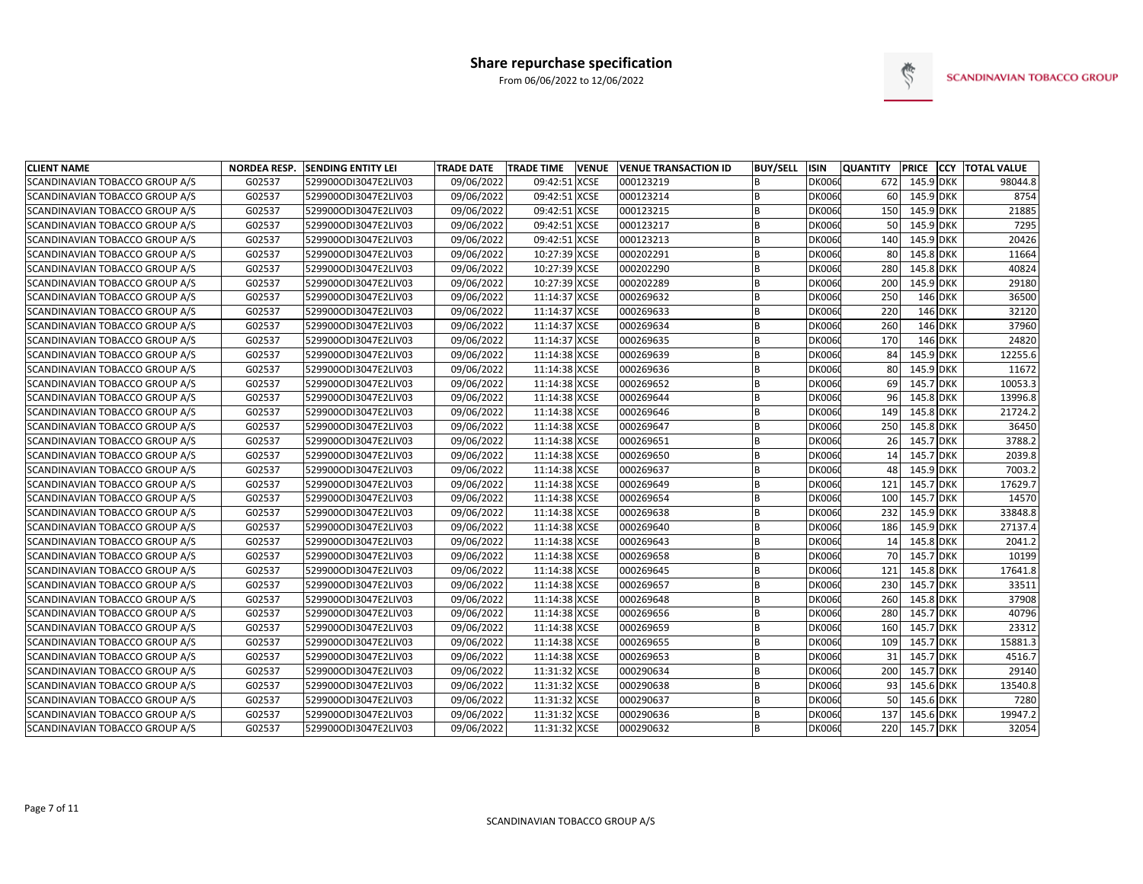

| <b>CLIENT NAME</b>             | <b>NORDEA RESP.</b> | <b>SENDING ENTITY LEI</b> | <b>TRADE DATE</b> | <b>TRADE TIME</b> | <b>VENUE</b> | <b>VENUE TRANSACTION ID</b> | <b>BUY/SELL</b> | <b>ISIN</b>   | <b>QUANTITY</b> |           | <b>PRICE CCY TOTAL VALUE</b> |
|--------------------------------|---------------------|---------------------------|-------------------|-------------------|--------------|-----------------------------|-----------------|---------------|-----------------|-----------|------------------------------|
| SCANDINAVIAN TOBACCO GROUP A/S | G02537              | 529900ODI3047E2LIV03      | 09/06/2022        | 09:42:51          | <b>XCSE</b>  | 000123219                   | <sub>B</sub>    | DK0060        | 672             | 145.9 DKK | 98044.8                      |
| SCANDINAVIAN TOBACCO GROUP A/S | G02537              | 529900ODI3047E2LIV03      | 09/06/2022        | 09:42:51 XCSE     |              | 000123214                   | B               | DK0060        | 60              | 145.9 DKK | 8754                         |
| SCANDINAVIAN TOBACCO GROUP A/S | G02537              | 529900ODI3047E2LIV03      | 09/06/2022        | 09:42:51 XCSE     |              | 000123215                   | B               | <b>DK0060</b> | 150             | 145.9 DKK | 21885                        |
| SCANDINAVIAN TOBACCO GROUP A/S | G02537              | 529900ODI3047E2LIV03      | 09/06/2022        | 09:42:51 XCSE     |              | 000123217                   | B               | DK0060        | 50              | 145.9 DKK | 7295                         |
| SCANDINAVIAN TOBACCO GROUP A/S | G02537              | 529900ODI3047E2LIV03      | 09/06/2022        | 09:42:51 XCSE     |              | 000123213                   | B               | <b>DK0060</b> | 140             | 145.9 DKK | 20426                        |
| SCANDINAVIAN TOBACCO GROUP A/S | G02537              | 529900ODI3047E2LIV03      | 09/06/2022        | 10:27:39 XCSE     |              | 000202291                   | B               | <b>DK0060</b> | 80              | 145.8 DKK | 11664                        |
| SCANDINAVIAN TOBACCO GROUP A/S | G02537              | 529900ODI3047E2LIV03      | 09/06/2022        | 10:27:39 XCSE     |              | 000202290                   | B               | <b>DK0060</b> | 280             | 145.8 DKK | 40824                        |
| SCANDINAVIAN TOBACCO GROUP A/S | G02537              | 529900ODI3047E2LIV03      | 09/06/2022        | 10:27:39 XCSE     |              | 000202289                   | <sub>B</sub>    | <b>DK0060</b> | 200             | 145.9 DKK | 29180                        |
| SCANDINAVIAN TOBACCO GROUP A/S | G02537              | 529900ODI3047E2LIV03      | 09/06/2022        | 11:14:37 XCSE     |              | 000269632                   | <sub>R</sub>    | <b>DK0060</b> | 250             | 146 DKK   | 36500                        |
| SCANDINAVIAN TOBACCO GROUP A/S | G02537              | 529900ODI3047E2LIV03      | 09/06/2022        | 11:14:37 XCSE     |              | 000269633                   | B               | <b>DK0060</b> | 220             | 146 DKK   | 32120                        |
| SCANDINAVIAN TOBACCO GROUP A/S | G02537              | 529900ODI3047E2LIV03      | 09/06/2022        | 11:14:37 XCSE     |              | 000269634                   | B               | <b>DK0060</b> | 260             | 146 DKK   | 37960                        |
| SCANDINAVIAN TOBACCO GROUP A/S | G02537              | 529900ODI3047E2LIV03      | 09/06/2022        | 11:14:37 XCSE     |              | 000269635                   | B               | <b>DK0060</b> | 170             | 146 DKK   | 24820                        |
| SCANDINAVIAN TOBACCO GROUP A/S | G02537              | 529900ODI3047E2LIV03      | 09/06/2022        | 11:14:38 XCSE     |              | 000269639                   | B               | DK0060        | 84              | 145.9 DKK | 12255.6                      |
| SCANDINAVIAN TOBACCO GROUP A/S | G02537              | 529900ODI3047E2LIV03      | 09/06/2022        | 11:14:38 XCSE     |              | 000269636                   | B               | <b>DK0060</b> | 80              | 145.9 DKK | 11672                        |
| SCANDINAVIAN TOBACCO GROUP A/S | G02537              | 529900ODI3047E2LIV03      | 09/06/2022        | 11:14:38 XCSE     |              | 000269652                   | B               | <b>DK0060</b> | 69              | 145.7 DKK | 10053.3                      |
| SCANDINAVIAN TOBACCO GROUP A/S | G02537              | 529900ODI3047E2LIV03      | 09/06/2022        | 11:14:38 XCSE     |              | 000269644                   | B               | <b>DK0060</b> | 96              | 145.8 DKK | 13996.8                      |
| SCANDINAVIAN TOBACCO GROUP A/S | G02537              | 529900ODI3047E2LIV03      | 09/06/2022        | 11:14:38 XCSE     |              | 000269646                   | B               | <b>DK0060</b> | 149             | 145.8 DKK | 21724.2                      |
| SCANDINAVIAN TOBACCO GROUP A/S | G02537              | 529900ODI3047E2LIV03      | 09/06/2022        | 11:14:38 XCSE     |              | 000269647                   | <b>B</b>        | <b>DK0060</b> | 250             | 145.8 DKK | 36450                        |
| SCANDINAVIAN TOBACCO GROUP A/S | G02537              | 529900ODI3047E2LIV03      | 09/06/2022        | 11:14:38 XCSE     |              | 000269651                   | B               | <b>DK0060</b> | 26              | 145.7 DKK | 3788.2                       |
| SCANDINAVIAN TOBACCO GROUP A/S | G02537              | 529900ODI3047E2LIV03      | 09/06/2022        | 11:14:38 XCSE     |              | 000269650                   | B               | <b>DK0060</b> | 14              | 145.7 DKK | 2039.8                       |
| SCANDINAVIAN TOBACCO GROUP A/S | G02537              | 529900ODI3047E2LIV03      | 09/06/2022        | 11:14:38 XCSE     |              | 000269637                   | B               | <b>DK0060</b> | 48              | 145.9 DKK | 7003.2                       |
| SCANDINAVIAN TOBACCO GROUP A/S | G02537              | 529900ODI3047E2LIV03      | 09/06/2022        | 11:14:38 XCSE     |              | 000269649                   | <b>B</b>        | <b>DK0060</b> | 121             | 145.7 DKK | 17629.7                      |
| SCANDINAVIAN TOBACCO GROUP A/S | G02537              | 529900ODI3047E2LIV03      | 09/06/2022        | 11:14:38 XCSE     |              | 000269654                   | B               | <b>DK0060</b> | 100             | 145.7 DKK | 14570                        |
| SCANDINAVIAN TOBACCO GROUP A/S | G02537              | 529900ODI3047E2LIV03      | 09/06/2022        | 11:14:38 XCSE     |              | 000269638                   | B               | <b>DK0060</b> | 232             | 145.9 DKK | 33848.8                      |
| SCANDINAVIAN TOBACCO GROUP A/S | G02537              | 529900ODI3047E2LIV03      | 09/06/2022        | 11:14:38 XCSE     |              | 000269640                   | <sub>R</sub>    | <b>DK0060</b> | 186             | 145.9 DKK | 27137.4                      |
| SCANDINAVIAN TOBACCO GROUP A/S | G02537              | 529900ODI3047E2LIV03      | 09/06/2022        | 11:14:38 XCSE     |              | 000269643                   | <sub>R</sub>    | <b>DK0060</b> | 14              | 145.8 DKK | 2041.2                       |
| SCANDINAVIAN TOBACCO GROUP A/S | G02537              | 529900ODI3047E2LIV03      | 09/06/2022        | 11:14:38 XCSE     |              | 000269658                   | <b>B</b>        | <b>DK0060</b> | 70              | 145.7 DKK | 10199                        |
| SCANDINAVIAN TOBACCO GROUP A/S | G02537              | 529900ODI3047E2LIV03      | 09/06/2022        | 11:14:38 XCSE     |              | 000269645                   | B               | <b>DK0060</b> | 121             | 145.8 DKK | 17641.8                      |
| SCANDINAVIAN TOBACCO GROUP A/S | G02537              | 529900ODI3047E2LIV03      | 09/06/2022        | 11:14:38 XCSE     |              | 000269657                   | B               | <b>DK0060</b> | 230             | 145.7 DKK | 33511                        |
| SCANDINAVIAN TOBACCO GROUP A/S | G02537              | 529900ODI3047E2LIV03      | 09/06/2022        | 11:14:38 XCSE     |              | 000269648                   | B               | <b>DK0060</b> | 260             | 145.8 DKK | 37908                        |
| SCANDINAVIAN TOBACCO GROUP A/S | G02537              | 529900ODI3047E2LIV03      | 09/06/2022        | 11:14:38 XCSE     |              | 000269656                   | B               | <b>DK0060</b> | 280             | 145.7 DKK | 40796                        |
| SCANDINAVIAN TOBACCO GROUP A/S | G02537              | 529900ODI3047E2LIV03      | 09/06/2022        | 11:14:38 XCSE     |              | 000269659                   | B               | <b>DK0060</b> | 160             | 145.7 DKK | 23312                        |
| SCANDINAVIAN TOBACCO GROUP A/S | G02537              | 529900ODI3047E2LIV03      | 09/06/2022        | 11:14:38 XCSE     |              | 000269655                   | B               | <b>DK0060</b> | 109             | 145.7 DKK | 15881.3                      |
| SCANDINAVIAN TOBACCO GROUP A/S | G02537              | 529900ODI3047E2LIV03      | 09/06/2022        | 11:14:38 XCSE     |              | 000269653                   | B               | <b>DK0060</b> | 31              | 145.7 DKK | 4516.7                       |
| SCANDINAVIAN TOBACCO GROUP A/S | G02537              | 529900ODI3047E2LIV03      | 09/06/2022        | 11:31:32 XCSE     |              | 000290634                   | B               | <b>DK0060</b> | 200             | 145.7 DKK | 29140                        |
| SCANDINAVIAN TOBACCO GROUP A/S | G02537              | 529900ODI3047E2LIV03      | 09/06/2022        | 11:31:32 XCSE     |              | 000290638                   | B               | <b>DK0060</b> | 93              | 145.6 DKK | 13540.8                      |
| SCANDINAVIAN TOBACCO GROUP A/S | G02537              | 529900ODI3047E2LIV03      | 09/06/2022        | 11:31:32 XCSE     |              | 000290637                   | B               | <b>DK0060</b> | 50              | 145.6 DKK | 7280                         |
| SCANDINAVIAN TOBACCO GROUP A/S | G02537              | 529900ODI3047E2LIV03      | 09/06/2022        | 11:31:32 XCSE     |              | 000290636                   | B               | DK0060        | 137             | 145.6 DKK | 19947.2                      |
| SCANDINAVIAN TOBACCO GROUP A/S | G02537              | 529900ODI3047E2LIV03      | 09/06/2022        | 11:31:32 XCSE     |              | 000290632                   | <b>B</b>        | DK0060        | 220             | 145.7 DKK | 32054                        |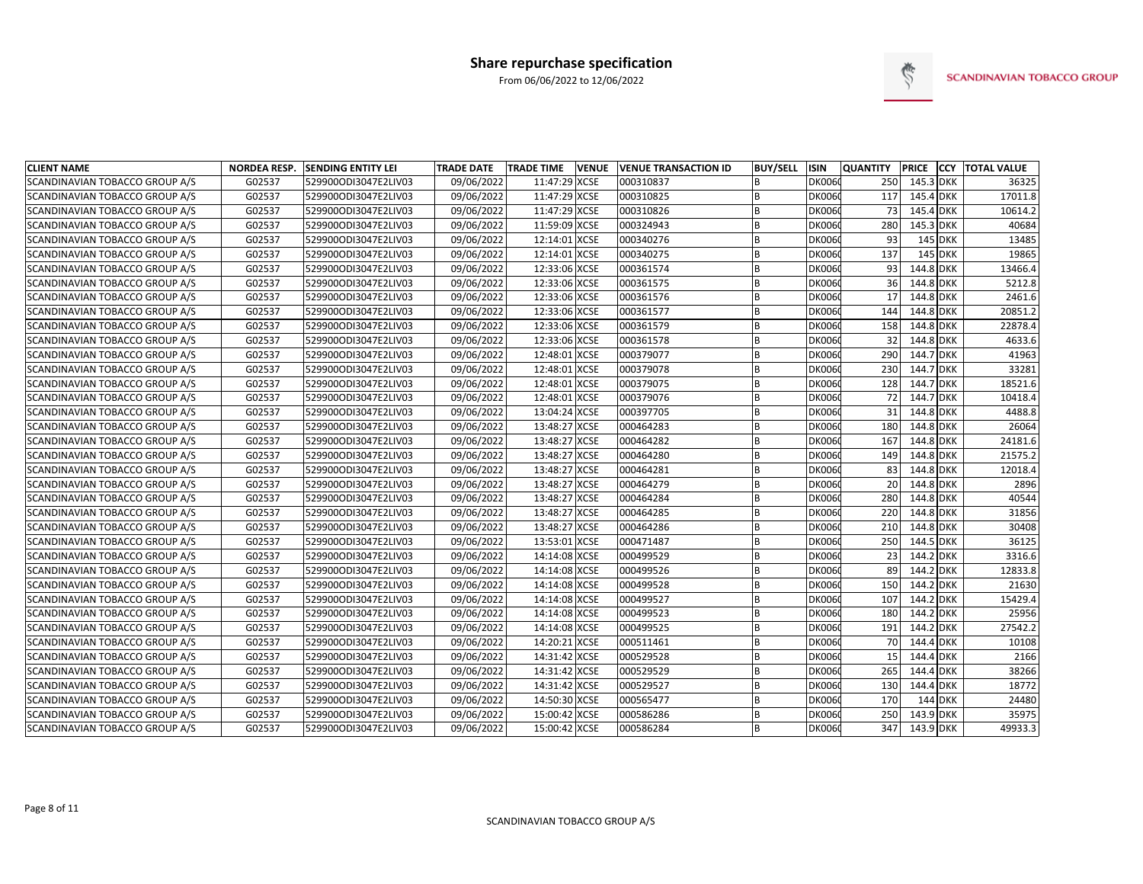

| <b>CLIENT NAME</b>                    | <b>NORDEA RESP.</b> | <b>SENDING ENTITY LEI</b> | <b>TRADE DATE</b> | <b>TRADE TIME</b> | <b>VENUE</b> | <b>VENUE TRANSACTION ID</b> | <b>BUY/SELL</b> | <b>ISIN</b>   | <b>QUANTITY</b> | <b>PRICE</b> |         | <b>CCY TOTAL VALUE</b> |
|---------------------------------------|---------------------|---------------------------|-------------------|-------------------|--------------|-----------------------------|-----------------|---------------|-----------------|--------------|---------|------------------------|
| SCANDINAVIAN TOBACCO GROUP A/S        | G02537              | 529900ODI3047E2LIV03      | 09/06/2022        | 11:47:29 XCSE     |              | 000310837                   | R               | <b>DK0060</b> | 250             | 145.3 DKK    |         | 36325                  |
| SCANDINAVIAN TOBACCO GROUP A/S        | G02537              | 529900ODI3047E2LIV03      | 09/06/2022        | 11:47:29 XCSE     |              | 000310825                   | R               | <b>DK0060</b> | 117             | 145.4 DKK    |         | 17011.8                |
| SCANDINAVIAN TOBACCO GROUP A/S        | G02537              | 529900ODI3047E2LIV03      | 09/06/2022        | 11:47:29 XCSE     |              | 000310826                   | B               | <b>DK0060</b> | 73              | 145.4 DKK    |         | 10614.2                |
| SCANDINAVIAN TOBACCO GROUP A/S        | G02537              | 529900ODI3047E2LIV03      | 09/06/2022        | 11:59:09 XCSE     |              | 000324943                   | B               | <b>DK0060</b> | 280             | 145.3 DKK    |         | 40684                  |
| SCANDINAVIAN TOBACCO GROUP A/S        | G02537              | 529900ODI3047E2LIV03      | 09/06/2022        | 12:14:01 XCSE     |              | 000340276                   | R               | <b>DK0060</b> | 93              |              | 145 DKK | 13485                  |
| SCANDINAVIAN TOBACCO GROUP A/S        | G02537              | 529900ODI3047E2LIV03      | 09/06/2022        | 12:14:01 XCSE     |              | 000340275                   | B               | <b>DK0060</b> | 137             |              | 145 DKK | 19865                  |
| SCANDINAVIAN TOBACCO GROUP A/S        | G02537              | 529900ODI3047E2LIV03      | 09/06/2022        | 12:33:06 XCSE     |              | 000361574                   | B               | <b>DK0060</b> | 93              | 144.8 DKK    |         | 13466.4                |
| <b>SCANDINAVIAN TOBACCO GROUP A/S</b> | G02537              | 529900ODI3047E2LIV03      | 09/06/2022        | 12:33:06 XCSE     |              | 000361575                   | R               | <b>DK0060</b> | 36              | 144.8 DKK    |         | 5212.8                 |
| SCANDINAVIAN TOBACCO GROUP A/S        | G02537              | 529900ODI3047E2LIV03      | 09/06/2022        | 12:33:06 XCSE     |              | 000361576                   | R               | <b>DK0060</b> | 17              | 144.8 DKK    |         | 2461.6                 |
| SCANDINAVIAN TOBACCO GROUP A/S        | G02537              | 529900ODI3047E2LIV03      | 09/06/2022        | 12:33:06 XCSE     |              | 000361577                   | R               | <b>DK0060</b> | 144             | 144.8 DKK    |         | 20851.2                |
| SCANDINAVIAN TOBACCO GROUP A/S        | G02537              | 529900ODI3047E2LIV03      | 09/06/2022        | 12:33:06 XCSE     |              | 000361579                   |                 | <b>DK0060</b> | 158             | 144.8 DKK    |         | 22878.4                |
| SCANDINAVIAN TOBACCO GROUP A/S        | G02537              | 529900ODI3047E2LIV03      | 09/06/2022        | 12:33:06 XCSE     |              | 000361578                   | B               | <b>DK0060</b> | 32              | 144.8 DKK    |         | 4633.6                 |
| SCANDINAVIAN TOBACCO GROUP A/S        | G02537              | 529900ODI3047E2LIV03      | 09/06/2022        | 12:48:01 XCSE     |              | 000379077                   | R               | <b>DK0060</b> | 290             | 144.7 DKK    |         | 41963                  |
| SCANDINAVIAN TOBACCO GROUP A/S        | G02537              | 529900ODI3047E2LIV03      | 09/06/2022        | 12:48:01 XCSE     |              | 000379078                   | B               | <b>DK0060</b> | 230             | 144.7 DKK    |         | 33281                  |
| SCANDINAVIAN TOBACCO GROUP A/S        | G02537              | 529900ODI3047E2LIV03      | 09/06/2022        | 12:48:01 XCSE     |              | 000379075                   | B               | <b>DK0060</b> | 128             | 144.7 DKK    |         | 18521.6                |
| SCANDINAVIAN TOBACCO GROUP A/S        | G02537              | 529900ODI3047E2LIV03      | 09/06/2022        | 12:48:01 XCSE     |              | 000379076                   | R               | <b>DK0060</b> | 72              | 144.7 DKK    |         | 10418.4                |
| SCANDINAVIAN TOBACCO GROUP A/S        | G02537              | 529900ODI3047E2LIV03      | 09/06/2022        | 13:04:24 XCSE     |              | 000397705                   | B               | <b>DK0060</b> | 31              | 144.8 DKK    |         | 4488.8                 |
| SCANDINAVIAN TOBACCO GROUP A/S        | G02537              | 529900ODI3047E2LIV03      | 09/06/2022        | 13:48:27 XCSE     |              | 000464283                   | R               | <b>DK0060</b> | 180             | 144.8 DKK    |         | 26064                  |
| SCANDINAVIAN TOBACCO GROUP A/S        | G02537              | 529900ODI3047E2LIV03      | 09/06/2022        | 13:48:27 XCSE     |              | 000464282                   | B               | <b>DK0060</b> | 167             | 144.8 DKK    |         | 24181.6                |
| SCANDINAVIAN TOBACCO GROUP A/S        | G02537              | 529900ODI3047E2LIV03      | 09/06/2022        | 13:48:27 XCSE     |              | 000464280                   | R               | <b>DK0060</b> | 149             | 144.8 DKK    |         | 21575.2                |
| SCANDINAVIAN TOBACCO GROUP A/S        | G02537              | 529900ODI3047E2LIV03      | 09/06/2022        | 13:48:27 XCSE     |              | 000464281                   | B               | <b>DK0060</b> | 83              | 144.8 DKK    |         | 12018.4                |
| SCANDINAVIAN TOBACCO GROUP A/S        | G02537              | 529900ODI3047E2LIV03      | 09/06/2022        | 13:48:27 XCSE     |              | 000464279                   | R               | <b>DK0060</b> | 20              | 144.8 DKK    |         | 2896                   |
| SCANDINAVIAN TOBACCO GROUP A/S        | G02537              | 529900ODI3047E2LIV03      | 09/06/2022        | 13:48:27 XCSE     |              | 000464284                   | B               | <b>DK0060</b> | 280             | 144.8 DKK    |         | 40544                  |
| SCANDINAVIAN TOBACCO GROUP A/S        | G02537              | 529900ODI3047E2LIV03      | 09/06/2022        | 13:48:27 XCSE     |              | 000464285                   | R               | <b>DK0060</b> | 220             | 144.8 DKK    |         | 31856                  |
| SCANDINAVIAN TOBACCO GROUP A/S        | G02537              | 529900ODI3047E2LIV03      | 09/06/2022        | 13:48:27 XCSE     |              | 000464286                   | R               | <b>DK0060</b> | 210             | 144.8 DKK    |         | 30408                  |
| SCANDINAVIAN TOBACCO GROUP A/S        | G02537              | 529900ODI3047E2LIV03      | 09/06/2022        | 13:53:01 XCSE     |              | 000471487                   | B               | <b>DK0060</b> | 250             | 144.5 DKK    |         | 36125                  |
| SCANDINAVIAN TOBACCO GROUP A/S        | G02537              | 529900ODI3047E2LIV03      | 09/06/2022        | 14:14:08 XCSE     |              | 000499529                   |                 | <b>DK0060</b> | 23              | 144.2 DKK    |         | 3316.6                 |
| SCANDINAVIAN TOBACCO GROUP A/S        | G02537              | 529900ODI3047E2LIV03      | 09/06/2022        | 14:14:08 XCSE     |              | 000499526                   | В               | <b>DK0060</b> | 89              | 144.2 DKK    |         | 12833.8                |
| SCANDINAVIAN TOBACCO GROUP A/S        | G02537              | 529900ODI3047E2LIV03      | 09/06/2022        | 14:14:08 XCSE     |              | 000499528                   | B               | <b>DK0060</b> | 150             | 144.2 DKK    |         | 21630                  |
| SCANDINAVIAN TOBACCO GROUP A/S        | G02537              | 529900ODI3047E2LIV03      | 09/06/2022        | 14:14:08 XCSE     |              | 000499527                   | B               | <b>DK0060</b> | 107             | 144.2 DKK    |         | 15429.4                |
| SCANDINAVIAN TOBACCO GROUP A/S        | G02537              | 529900ODI3047E2LIV03      | 09/06/2022        | 14:14:08 XCSE     |              | 000499523                   | B               | <b>DK0060</b> | 180             | 144.2 DKK    |         | 25956                  |
| <b>SCANDINAVIAN TOBACCO GROUP A/S</b> | G02537              | 529900ODI3047E2LIV03      | 09/06/2022        | 14:14:08 XCSE     |              | 000499525                   | R               | <b>DK0060</b> | 191             | 144.2 DKK    |         | 27542.2                |
| SCANDINAVIAN TOBACCO GROUP A/S        | G02537              | 529900ODI3047E2LIV03      | 09/06/2022        | 14:20:21 XCSE     |              | 000511461                   | R               | <b>DK0060</b> | 70              | 144.4 DKK    |         | 10108                  |
| SCANDINAVIAN TOBACCO GROUP A/S        | G02537              | 529900ODI3047E2LIV03      | 09/06/2022        | 14:31:42 XCSE     |              | 000529528                   | R               | <b>DK0060</b> | 15              | 144.4 DKK    |         | 2166                   |
| SCANDINAVIAN TOBACCO GROUP A/S        | G02537              | 529900ODI3047E2LIV03      | 09/06/2022        | 14:31:42 XCSE     |              | 000529529                   | R               | <b>DK0060</b> | 265             | 144.4 DKK    |         | 38266                  |
| SCANDINAVIAN TOBACCO GROUP A/S        | G02537              | 529900ODI3047E2LIV03      | 09/06/2022        | 14:31:42 XCSE     |              | 000529527                   | R               | <b>DK0060</b> | 130             | 144.4 DKK    |         | 18772                  |
| SCANDINAVIAN TOBACCO GROUP A/S        | G02537              | 529900ODI3047E2LIV03      | 09/06/2022        | 14:50:30 XCSE     |              | 000565477                   | B               | <b>DK0060</b> | 170             |              | 144 DKK | 24480                  |
| SCANDINAVIAN TOBACCO GROUP A/S        | G02537              | 529900ODI3047E2LIV03      | 09/06/2022        | 15:00:42 XCSE     |              | 000586286                   | R               | <b>DK0060</b> | 250             | 143.9 DKK    |         | 35975                  |
| SCANDINAVIAN TOBACCO GROUP A/S        | G02537              | 529900ODI3047E2LIV03      | 09/06/2022        | 15:00:42 XCSE     |              | 000586284                   |                 | DK0060        | 347             | 143.9 DKK    |         | 49933.3                |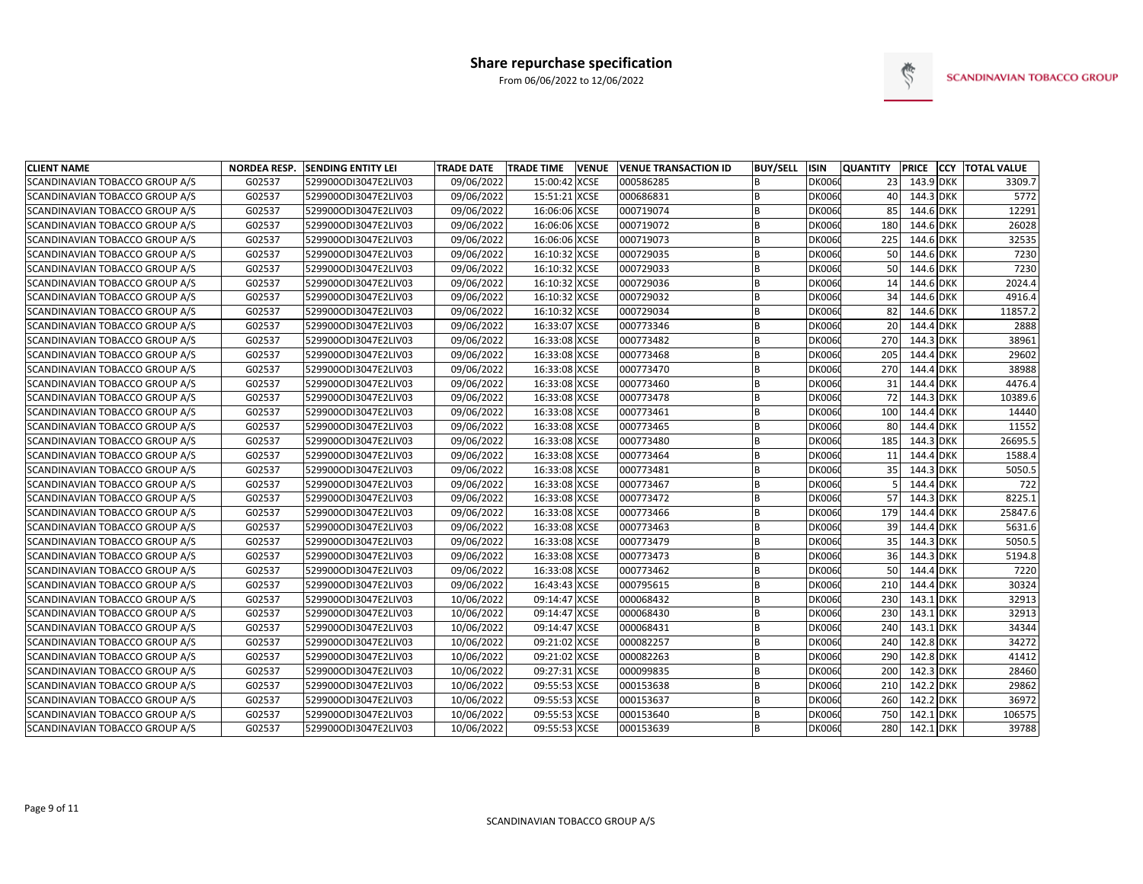

| <b>CLIENT NAME</b>                    | <b>NORDEA RESP.</b> | <b>SENDING ENTITY LEI</b> | <b>TRADE DATE</b> | <b>TRADE TIME</b> | <b>VENUE</b> | <b>VENUE TRANSACTION ID</b> | <b>BUY/SELL</b> | <b>ISIN</b>   | <b>QUANTITY</b> |           | <b>PRICE CCY TOTAL VALUE</b> |
|---------------------------------------|---------------------|---------------------------|-------------------|-------------------|--------------|-----------------------------|-----------------|---------------|-----------------|-----------|------------------------------|
| SCANDINAVIAN TOBACCO GROUP A/S        | G02537              | 529900ODI3047E2LIV03      | 09/06/2022        | 15:00:42 XCSE     |              | 000586285                   | B               | DK0060        | 23              | 143.9 DKK | 3309.7                       |
| SCANDINAVIAN TOBACCO GROUP A/S        | G02537              | 529900ODI3047E2LIV03      | 09/06/2022        | 15:51:21 XCSE     |              | 000686831                   | B               | DK0060        | 40              | 144.3 DKK | 5772                         |
| SCANDINAVIAN TOBACCO GROUP A/S        | G02537              | 529900ODI3047E2LIV03      | 09/06/2022        | 16:06:06 XCSE     |              | 000719074                   | B               | <b>DK0060</b> | 85              | 144.6 DKK | 12291                        |
| SCANDINAVIAN TOBACCO GROUP A/S        | G02537              | 529900ODI3047E2LIV03      | 09/06/2022        | 16:06:06 XCSE     |              | 000719072                   | B               | DK0060        | 180             | 144.6 DKK | 26028                        |
| SCANDINAVIAN TOBACCO GROUP A/S        | G02537              | 529900ODI3047E2LIV03      | 09/06/2022        | 16:06:06 XCSE     |              | 000719073                   | B               | <b>DK0060</b> | 225             | 144.6 DKK | 32535                        |
| SCANDINAVIAN TOBACCO GROUP A/S        | G02537              | 529900ODI3047E2LIV03      | 09/06/2022        | 16:10:32 XCSE     |              | 000729035                   | B               | <b>DK0060</b> | 50              | 144.6 DKK | 7230                         |
| SCANDINAVIAN TOBACCO GROUP A/S        | G02537              | 529900ODI3047E2LIV03      | 09/06/2022        | 16:10:32 XCSE     |              | 000729033                   | <b>B</b>        | <b>DK0060</b> | 50              | 144.6 DKK | 7230                         |
| SCANDINAVIAN TOBACCO GROUP A/S        | G02537              | 529900ODI3047E2LIV03      | 09/06/2022        | 16:10:32 XCSE     |              | 000729036                   | B               | DK0060        | 14              | 144.6 DKK | 2024.4                       |
| SCANDINAVIAN TOBACCO GROUP A/S        | G02537              | 529900ODI3047E2LIV03      | 09/06/2022        | 16:10:32 XCSE     |              | 000729032                   | B               | <b>DK0060</b> | 34              | 144.6 DKK | 4916.4                       |
| SCANDINAVIAN TOBACCO GROUP A/S        | G02537              | 529900ODI3047E2LIV03      | 09/06/2022        | 16:10:32 XCSE     |              | 000729034                   | <b>B</b>        | <b>DK0060</b> | 82              | 144.6 DKK | 11857.2                      |
| SCANDINAVIAN TOBACCO GROUP A/S        | G02537              | 529900ODI3047E2LIV03      | 09/06/2022        | 16:33:07 XCSE     |              | 000773346                   | B               | <b>DK0060</b> | 20 <sup>2</sup> | 144.4 DKK | 2888                         |
| SCANDINAVIAN TOBACCO GROUP A/S        | G02537              | 529900ODI3047E2LIV03      | 09/06/2022        | 16:33:08 XCSE     |              | 000773482                   | B               | <b>DK0060</b> | 270             | 144.3 DKK | 38961                        |
| SCANDINAVIAN TOBACCO GROUP A/S        | G02537              | 529900ODI3047E2LIV03      | 09/06/2022        | 16:33:08 XCSE     |              | 000773468                   | B               | <b>DK0060</b> | 205             | 144.4 DKK | 29602                        |
| SCANDINAVIAN TOBACCO GROUP A/S        | G02537              | 529900ODI3047E2LIV03      | 09/06/2022        | 16:33:08 XCSE     |              | 000773470                   | B               | <b>DK0060</b> | 270             | 144.4 DKK | 38988                        |
| SCANDINAVIAN TOBACCO GROUP A/S        | G02537              | 529900ODI3047E2LIV03      | 09/06/2022        | 16:33:08 XCSE     |              | 000773460                   | B               | <b>DK0060</b> | 31              | 144.4 DKK | 4476.4                       |
| SCANDINAVIAN TOBACCO GROUP A/S        | G02537              | 529900ODI3047E2LIV03      | 09/06/2022        | 16:33:08 XCSE     |              | 000773478                   | <sub>R</sub>    | <b>DK0060</b> | 72              | 144.3 DKK | 10389.6                      |
| SCANDINAVIAN TOBACCO GROUP A/S        | G02537              | 529900ODI3047E2LIV03      | 09/06/2022        | 16:33:08 XCSE     |              | 000773461                   | B               | <b>DK0060</b> | 100             | 144.4 DKK | 14440                        |
| SCANDINAVIAN TOBACCO GROUP A/S        | G02537              | 529900ODI3047E2LIV03      | 09/06/2022        | 16:33:08 XCSE     |              | 000773465                   | B               | <b>DK0060</b> | 80              | 144.4 DKK | 11552                        |
| SCANDINAVIAN TOBACCO GROUP A/S        | G02537              | 529900ODI3047E2LIV03      | 09/06/2022        | 16:33:08 XCSE     |              | 000773480                   | B               | <b>DK0060</b> | 185             | 144.3 DKK | 26695.5                      |
| SCANDINAVIAN TOBACCO GROUP A/S        | G02537              | 529900ODI3047E2LIV03      | 09/06/2022        | 16:33:08 XCSE     |              | 000773464                   | B               | <b>DK0060</b> | 11              | 144.4 DKK | 1588.4                       |
| SCANDINAVIAN TOBACCO GROUP A/S        | G02537              | 529900ODI3047E2LIV03      | 09/06/2022        | 16:33:08 XCSE     |              | 000773481                   | B               | <b>DK0060</b> | 35              | 144.3 DKK | 5050.5                       |
| SCANDINAVIAN TOBACCO GROUP A/S        | G02537              | 529900ODI3047E2LIV03      | 09/06/2022        | 16:33:08 XCSE     |              | 000773467                   |                 | DK0060        |                 | 144.4 DKK | 722                          |
| SCANDINAVIAN TOBACCO GROUP A/S        | G02537              | 529900ODI3047E2LIV03      | 09/06/2022        | 16:33:08 XCSE     |              | 000773472                   | B               | <b>DK0060</b> | 57              | 144.3 DKK | 8225.1                       |
| SCANDINAVIAN TOBACCO GROUP A/S        | G02537              | 529900ODI3047E2LIV03      | 09/06/2022        | 16:33:08 XCSE     |              | 000773466                   | <b>B</b>        | DK0060        | 179             | 144.4 DKK | 25847.6                      |
| SCANDINAVIAN TOBACCO GROUP A/S        | G02537              | 529900ODI3047E2LIV03      | 09/06/2022        | 16:33:08 XCSE     |              | 000773463                   | B               | <b>DK0060</b> | 39              | 144.4 DKK | 5631.6                       |
| SCANDINAVIAN TOBACCO GROUP A/S        | G02537              | 529900ODI3047E2LIV03      | 09/06/2022        | 16:33:08 XCSE     |              | 000773479                   | B               | <b>DK0060</b> | 35              | 144.3 DKK | 5050.5                       |
| SCANDINAVIAN TOBACCO GROUP A/S        | G02537              | 529900ODI3047E2LIV03      | 09/06/2022        | 16:33:08 XCSE     |              | 000773473                   | B               | <b>DK0060</b> | 36              | 144.3 DKK | 5194.8                       |
| SCANDINAVIAN TOBACCO GROUP A/S        | G02537              | 529900ODI3047E2LIV03      | 09/06/2022        | 16:33:08 XCSE     |              | 000773462                   | B               | <b>DK0060</b> | 50              | 144.4 DKK | 7220                         |
| SCANDINAVIAN TOBACCO GROUP A/S        | G02537              | 529900ODI3047E2LIV03      | 09/06/2022        | 16:43:43 XCSE     |              | 000795615                   | B               | <b>DK0060</b> | 210             | 144.4 DKK | 30324                        |
| SCANDINAVIAN TOBACCO GROUP A/S        | G02537              | 529900ODI3047E2LIV03      | 10/06/2022        | 09:14:47 XCSE     |              | 000068432                   | B               | <b>DK0060</b> | 230             | 143.1 DKK | 32913                        |
| SCANDINAVIAN TOBACCO GROUP A/S        | G02537              | 529900ODI3047E2LIV03      | 10/06/2022        | 09:14:47 XCSE     |              | 000068430                   | B               | <b>DK0060</b> | 230             | 143.1 DKK | 32913                        |
| SCANDINAVIAN TOBACCO GROUP A/S        | G02537              | 529900ODI3047E2LIV03      | 10/06/2022        | 09:14:47 XCSE     |              | 000068431                   | B               | <b>DK0060</b> | 240             | 143.1 DKK | 34344                        |
| <b>SCANDINAVIAN TOBACCO GROUP A/S</b> | G02537              | 529900ODI3047E2LIV03      | 10/06/2022        | 09:21:02 XCSE     |              | 000082257                   | B               | <b>DK0060</b> | 240             | 142.8 DKK | 34272                        |
| SCANDINAVIAN TOBACCO GROUP A/S        | G02537              | 529900ODI3047E2LIV03      | 10/06/2022        | 09:21:02 XCSE     |              | 000082263                   | B               | <b>DK0060</b> | 290             | 142.8 DKK | 41412                        |
| SCANDINAVIAN TOBACCO GROUP A/S        | G02537              | 529900ODI3047E2LIV03      | 10/06/2022        | 09:27:31 XCSE     |              | 000099835                   | B               | <b>DK0060</b> | 200             | 142.3 DKK | 28460                        |
| SCANDINAVIAN TOBACCO GROUP A/S        | G02537              | 529900ODI3047E2LIV03      | 10/06/2022        | 09:55:53 XCSE     |              | 000153638                   | B               | <b>DK0060</b> | 210             | 142.2 DKK | 29862                        |
| SCANDINAVIAN TOBACCO GROUP A/S        | G02537              | 529900ODI3047E2LIV03      | 10/06/2022        | 09:55:53 XCSE     |              | 000153637                   | B               | <b>DK0060</b> | 260             | 142.2 DKK | 36972                        |
| SCANDINAVIAN TOBACCO GROUP A/S        | G02537              | 529900ODI3047E2LIV03      | 10/06/2022        | 09:55:53 XCSE     |              | 000153640                   | B               | <b>DK0060</b> | 750             | 142.1 DKK | 106575                       |
| SCANDINAVIAN TOBACCO GROUP A/S        | G02537              | 529900ODI3047E2LIV03      | 10/06/2022        | 09:55:53 XCSE     |              | 000153639                   |                 | DK0060        | 280             | 142.1 DKK | 39788                        |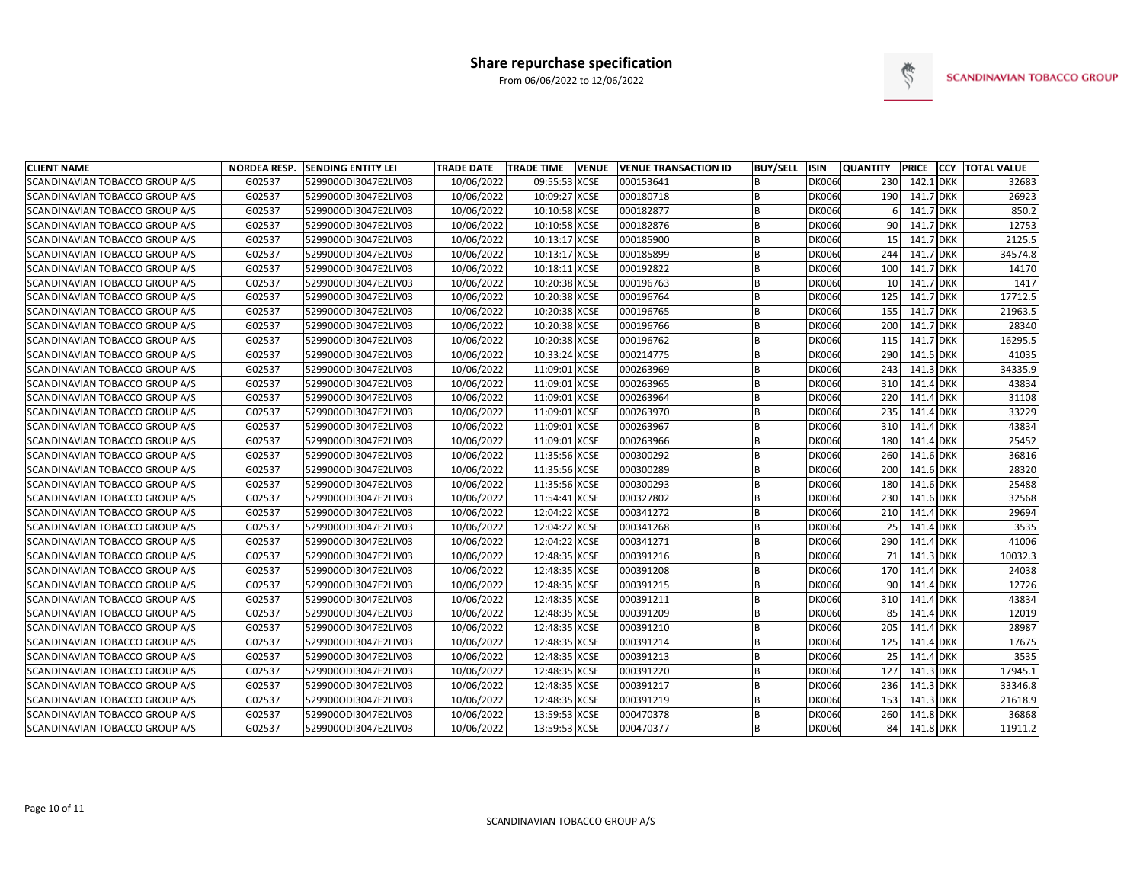

| <b>CLIENT NAME</b>             |        | NORDEA RESP. SENDING ENTITY LEI | <b>TRADE DATE</b> | <b>TRADE TIME</b><br><b>VENUE</b> | <b>VENUE TRANSACTION ID</b> | <b>BUY/SELL</b> | <b>ISIN</b>   | <b>QUANTITY</b> | <b>PRICE</b> | <b>CCY TOTAL VALUE</b> |
|--------------------------------|--------|---------------------------------|-------------------|-----------------------------------|-----------------------------|-----------------|---------------|-----------------|--------------|------------------------|
| SCANDINAVIAN TOBACCO GROUP A/S | G02537 | 529900ODI3047E2LIV03            | 10/06/2022        | 09:55:53 XCSE                     | 000153641                   | B               | <b>DK0060</b> | 230             | 142.1 DKK    | 32683                  |
| SCANDINAVIAN TOBACCO GROUP A/S | G02537 | 529900ODI3047E2LIV03            | 10/06/2022        | 10:09:27 XCSE                     | 000180718                   | B               | DK0060        | 190             | 141.7 DKK    | 26923                  |
| SCANDINAVIAN TOBACCO GROUP A/S | G02537 | 529900ODI3047E2LIV03            | 10/06/2022        | 10:10:58 XCSE                     | 000182877                   | B               | DK0060        |                 | 141.7 DKK    | 850.2                  |
| SCANDINAVIAN TOBACCO GROUP A/S | G02537 | 529900ODI3047E2LIV03            | 10/06/2022        | 10:10:58 XCSE                     | 000182876                   | B               | <b>DK0060</b> | 90              | 141.7 DKK    | 12753                  |
| SCANDINAVIAN TOBACCO GROUP A/S | G02537 | 529900ODI3047E2LIV03            | 10/06/2022        | 10:13:17 XCSE                     | 000185900                   | B               | <b>DK0060</b> | 15              | 141.7 DKK    | 2125.5                 |
| SCANDINAVIAN TOBACCO GROUP A/S | G02537 | 529900ODI3047E2LIV03            | 10/06/2022        | 10:13:17 XCSE                     | 000185899                   | B               | DK0060        | 244             | 141.7 DKK    | 34574.8                |
| SCANDINAVIAN TOBACCO GROUP A/S | G02537 | 529900ODI3047E2LIV03            | 10/06/2022        | 10:18:11 XCSE                     | 000192822                   | B               | <b>DK0060</b> | 100             | 141.7 DKK    | 14170                  |
| SCANDINAVIAN TOBACCO GROUP A/S | G02537 | 529900ODI3047E2LIV03            | 10/06/2022        | 10:20:38 XCSE                     | 000196763                   | B               | <b>DK0060</b> | 10 <sup>1</sup> | 141.7 DKK    | 1417                   |
| SCANDINAVIAN TOBACCO GROUP A/S | G02537 | 529900ODI3047E2LIV03            | 10/06/2022        | 10:20:38 XCSE                     | 000196764                   | <b>B</b>        | <b>DK0060</b> | 125             | 141.7 DKK    | 17712.5                |
| SCANDINAVIAN TOBACCO GROUP A/S | G02537 | 529900ODI3047E2LIV03            | 10/06/2022        | 10:20:38 XCSE                     | 000196765                   | B               | <b>DK0060</b> | 155             | 141.7 DKK    | 21963.5                |
| SCANDINAVIAN TOBACCO GROUP A/S | G02537 | 529900ODI3047E2LIV03            | 10/06/2022        | 10:20:38 XCSE                     | 000196766                   | B               | <b>DK0060</b> | 200             | 141.7 DKK    | 28340                  |
| SCANDINAVIAN TOBACCO GROUP A/S | G02537 | 529900ODI3047E2LIV03            | 10/06/2022        | 10:20:38 XCSE                     | 000196762                   | B               | <b>DK0060</b> | 115             | 141.7 DKK    | 16295.5                |
| SCANDINAVIAN TOBACCO GROUP A/S | G02537 | 529900ODI3047E2LIV03            | 10/06/2022        | 10:33:24 XCSE                     | 000214775                   | B               | <b>DK0060</b> | 290             | 141.5 DKK    | 41035                  |
| SCANDINAVIAN TOBACCO GROUP A/S | G02537 | 529900ODI3047E2LIV03            | 10/06/2022        | 11:09:01 XCSE                     | 000263969                   | B               | <b>DK0060</b> | 243             | 141.3 DKK    | 34335.9                |
| SCANDINAVIAN TOBACCO GROUP A/S | G02537 | 529900ODI3047E2LIV03            | 10/06/2022        | 11:09:01 XCSE                     | 000263965                   | <sub>R</sub>    | <b>DK0060</b> | 310             | 141.4 DKK    | 43834                  |
| SCANDINAVIAN TOBACCO GROUP A/S | G02537 | 529900ODI3047E2LIV03            | 10/06/2022        | 11:09:01 XCSE                     | 000263964                   | B               | <b>DK0060</b> | 220             | 141.4 DKK    | 31108                  |
| SCANDINAVIAN TOBACCO GROUP A/S | G02537 | 529900ODI3047E2LIV03            | 10/06/2022        | 11:09:01 XCSE                     | 000263970                   | B               | <b>DK0060</b> | 235             | 141.4 DKK    | 33229                  |
| SCANDINAVIAN TOBACCO GROUP A/S | G02537 | 529900ODI3047E2LIV03            | 10/06/2022        | 11:09:01 XCSE                     | 000263967                   | B               | <b>DK0060</b> | 310             | 141.4 DKK    | 43834                  |
| SCANDINAVIAN TOBACCO GROUP A/S | G02537 | 529900ODI3047E2LIV03            | 10/06/2022        | 11:09:01 XCSE                     | 000263966                   | B               | <b>DK0060</b> | 180             | 141.4 DKK    | 25452                  |
| SCANDINAVIAN TOBACCO GROUP A/S | G02537 | 529900ODI3047E2LIV03            | 10/06/2022        | 11:35:56 XCSE                     | 000300292                   | <b>B</b>        | <b>DK0060</b> | 260             | 141.6 DKK    | 36816                  |
| SCANDINAVIAN TOBACCO GROUP A/S | G02537 | 529900ODI3047E2LIV03            | 10/06/2022        | 11:35:56 XCSE                     | 000300289                   | B               | <b>DK0060</b> | 200             | 141.6 DKK    | 28320                  |
| SCANDINAVIAN TOBACCO GROUP A/S | G02537 | 529900ODI3047E2LIV03            | 10/06/2022        | 11:35:56 XCSE                     | 000300293                   | B               | <b>DK0060</b> | 180             | 141.6 DKK    | 25488                  |
| SCANDINAVIAN TOBACCO GROUP A/S | G02537 | 529900ODI3047E2LIV03            | 10/06/2022        | 11:54:41 XCSE                     | 000327802                   | B               | <b>DK0060</b> | 230             | 141.6 DKK    | 32568                  |
| SCANDINAVIAN TOBACCO GROUP A/S | G02537 | 529900ODI3047E2LIV03            | 10/06/2022        | 12:04:22 XCSE                     | 000341272                   | B               | <b>DK0060</b> | 210             | 141.4 DKK    | 29694                  |
| SCANDINAVIAN TOBACCO GROUP A/S | G02537 | 529900ODI3047E2LIV03            | 10/06/2022        | 12:04:22 XCSE                     | 000341268                   | B               | <b>DK0060</b> | 25              | 141.4 DKK    | 3535                   |
| SCANDINAVIAN TOBACCO GROUP A/S | G02537 | 529900ODI3047E2LIV03            | 10/06/2022        | 12:04:22 XCSE                     | 000341271                   | B               | <b>DK0060</b> | 290             | 141.4 DKK    | 41006                  |
| SCANDINAVIAN TOBACCO GROUP A/S | G02537 | 529900ODI3047E2LIV03            | 10/06/2022        | 12:48:35 XCSE                     | 000391216                   | B               | <b>DK0060</b> | 71              | 141.3 DKK    | 10032.3                |
| SCANDINAVIAN TOBACCO GROUP A/S | G02537 | 529900ODI3047E2LIV03            | 10/06/2022        | 12:48:35 XCSE                     | 000391208                   | B               | <b>DK0060</b> | 170             | 141.4 DKK    | 24038                  |
| SCANDINAVIAN TOBACCO GROUP A/S | G02537 | 529900ODI3047E2LIV03            | 10/06/2022        | 12:48:35 XCSE                     | 000391215                   | B               | <b>DK0060</b> | 90              | 141.4 DKK    | 12726                  |
| SCANDINAVIAN TOBACCO GROUP A/S | G02537 | 529900ODI3047E2LIV03            | 10/06/2022        | 12:48:35 XCSE                     | 000391211                   | B               | <b>DK0060</b> | 310             | 141.4 DKK    | 43834                  |
| SCANDINAVIAN TOBACCO GROUP A/S | G02537 | 529900ODI3047E2LIV03            | 10/06/2022        | 12:48:35 XCSE                     | 000391209                   | B               | <b>DK0060</b> | 85              | 141.4 DKK    | 12019                  |
| SCANDINAVIAN TOBACCO GROUP A/S | G02537 | 529900ODI3047E2LIV03            | 10/06/2022        | 12:48:35 XCSE                     | 000391210                   | <b>B</b>        | <b>DK0060</b> | 205             | 141.4 DKK    | 28987                  |
| SCANDINAVIAN TOBACCO GROUP A/S | G02537 | 529900ODI3047E2LIV03            | 10/06/2022        | 12:48:35 XCSE                     | 000391214                   | <b>B</b>        | <b>DK0060</b> | 125             | 141.4 DKK    | 17675                  |
| SCANDINAVIAN TOBACCO GROUP A/S | G02537 | 529900ODI3047E2LIV03            | 10/06/2022        | 12:48:35 XCSE                     | 000391213                   | B               | <b>DK0060</b> | 25              | 141.4 DKK    | 3535                   |
| SCANDINAVIAN TOBACCO GROUP A/S | G02537 | 529900ODI3047E2LIV03            | 10/06/2022        | 12:48:35 XCSE                     | 000391220                   | B               | <b>DK0060</b> | 127             | 141.3 DKK    | 17945.1                |
| SCANDINAVIAN TOBACCO GROUP A/S | G02537 | 529900ODI3047E2LIV03            | 10/06/2022        | 12:48:35 XCSE                     | 000391217                   | B               | <b>DK0060</b> | 236             | 141.3 DKK    | 33346.8                |
| SCANDINAVIAN TOBACCO GROUP A/S | G02537 | 529900ODI3047E2LIV03            | 10/06/2022        | 12:48:35 XCSE                     | 000391219                   | B               | <b>DK0060</b> | 153             | 141.3 DKK    | 21618.9                |
| SCANDINAVIAN TOBACCO GROUP A/S | G02537 | 529900ODI3047E2LIV03            | 10/06/2022        | 13:59:53 XCSE                     | 000470378                   |                 | <b>DK0060</b> | 260             | 141.8 DKK    | 36868                  |
| SCANDINAVIAN TOBACCO GROUP A/S | G02537 | 529900ODI3047E2LIV03            | 10/06/2022        | 13:59:53 XCSE                     | 000470377                   |                 | <b>DK0060</b> | 84              | 141.8 DKK    | 11911.2                |